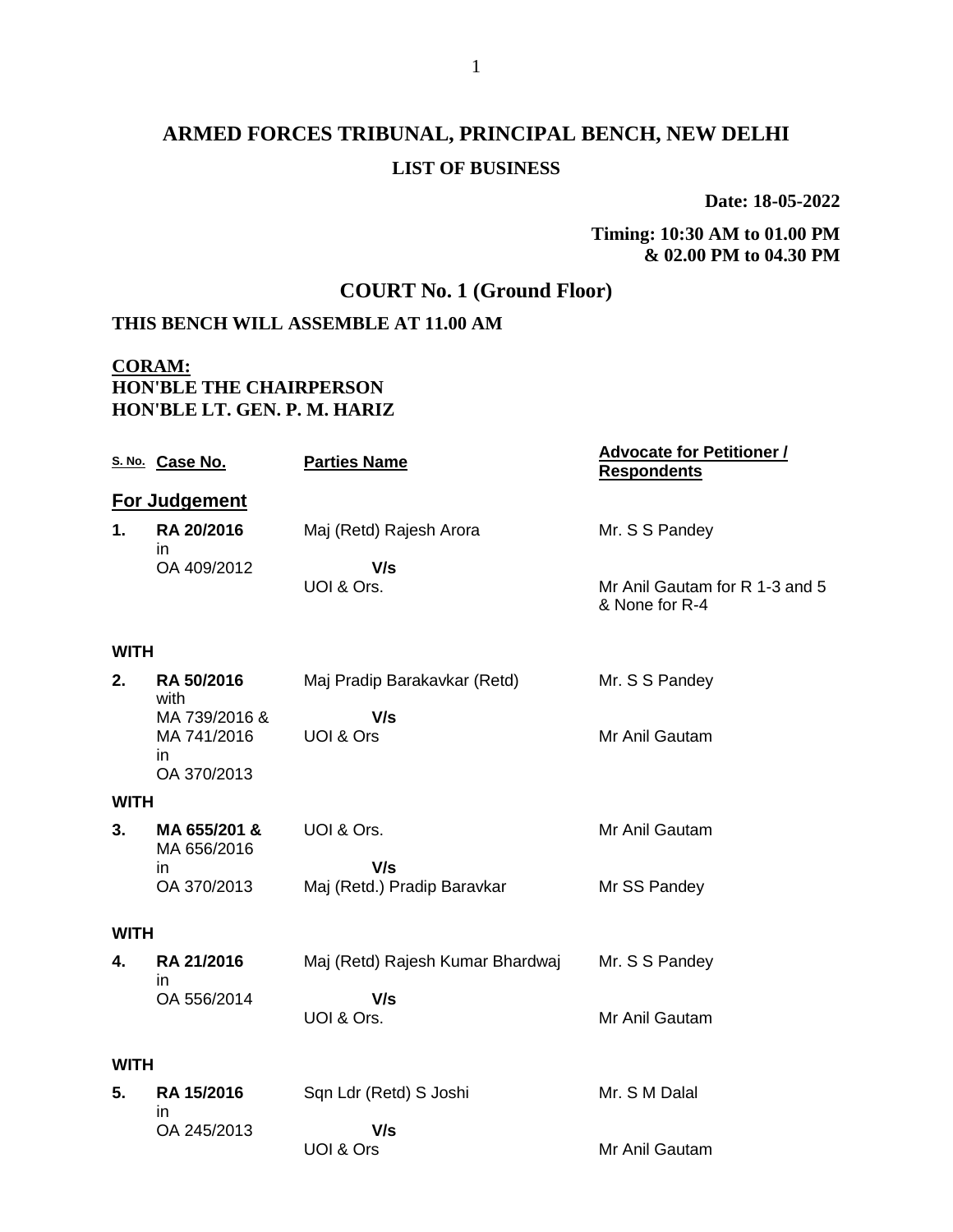# **ARMED FORCES TRIBUNAL, PRINCIPAL BENCH, NEW DELHI LIST OF BUSINESS**

**Date: 18-05-2022**

**Timing: 10:30 AM to 01.00 PM & 02.00 PM to 04.30 PM**

#### **COURT No. 1 (Ground Floor)**

#### **THIS BENCH WILL ASSEMBLE AT 11.00 AM**

#### **CORAM: HON'BLE THE CHAIRPERSON HON'BLE LT. GEN. P. M. HARIZ**

|             | S. No. Case No.                                   | <b>Parties Name</b>                | <b>Advocate for Petitioner /</b><br><b>Respondents</b> |  |  |
|-------------|---------------------------------------------------|------------------------------------|--------------------------------------------------------|--|--|
|             | For Judgement                                     |                                    |                                                        |  |  |
| 1.          | RA 20/2016<br>in.                                 | Maj (Retd) Rajesh Arora            | Mr. S S Pandey                                         |  |  |
|             | OA 409/2012                                       | V/s<br>UOI & Ors.                  | Mr Anil Gautam for R 1-3 and 5<br>& None for R-4       |  |  |
| <b>WITH</b> |                                                   |                                    |                                                        |  |  |
| 2.          | RA 50/2016<br>with                                | Maj Pradip Barakavkar (Retd)       | Mr. S S Pandey                                         |  |  |
|             | MA 739/2016 &<br>MA 741/2016<br>in<br>OA 370/2013 | V/s<br>UOI & Ors                   | Mr Anil Gautam                                         |  |  |
| <b>WITH</b> |                                                   |                                    |                                                        |  |  |
| 3.          | MA 655/201 &<br>MA 656/2016                       | UOI & Ors.                         | Mr Anil Gautam                                         |  |  |
|             | in<br>OA 370/2013                                 | V/s<br>Maj (Retd.) Pradip Baravkar | Mr SS Pandey                                           |  |  |
| <b>WITH</b> |                                                   |                                    |                                                        |  |  |
| 4.          | RA 21/2016<br>in                                  | Maj (Retd) Rajesh Kumar Bhardwaj   | Mr. S S Pandey                                         |  |  |
|             | OA 556/2014                                       | V/s<br>UOI & Ors.                  | Mr Anil Gautam                                         |  |  |
|             | <b>WITH</b>                                       |                                    |                                                        |  |  |
| 5.          | RA 15/2016<br>in                                  | Sqn Ldr (Retd) S Joshi             | Mr. S M Dalal                                          |  |  |
|             | OA 245/2013                                       | V/s<br>UOI & Ors                   | Mr Anil Gautam                                         |  |  |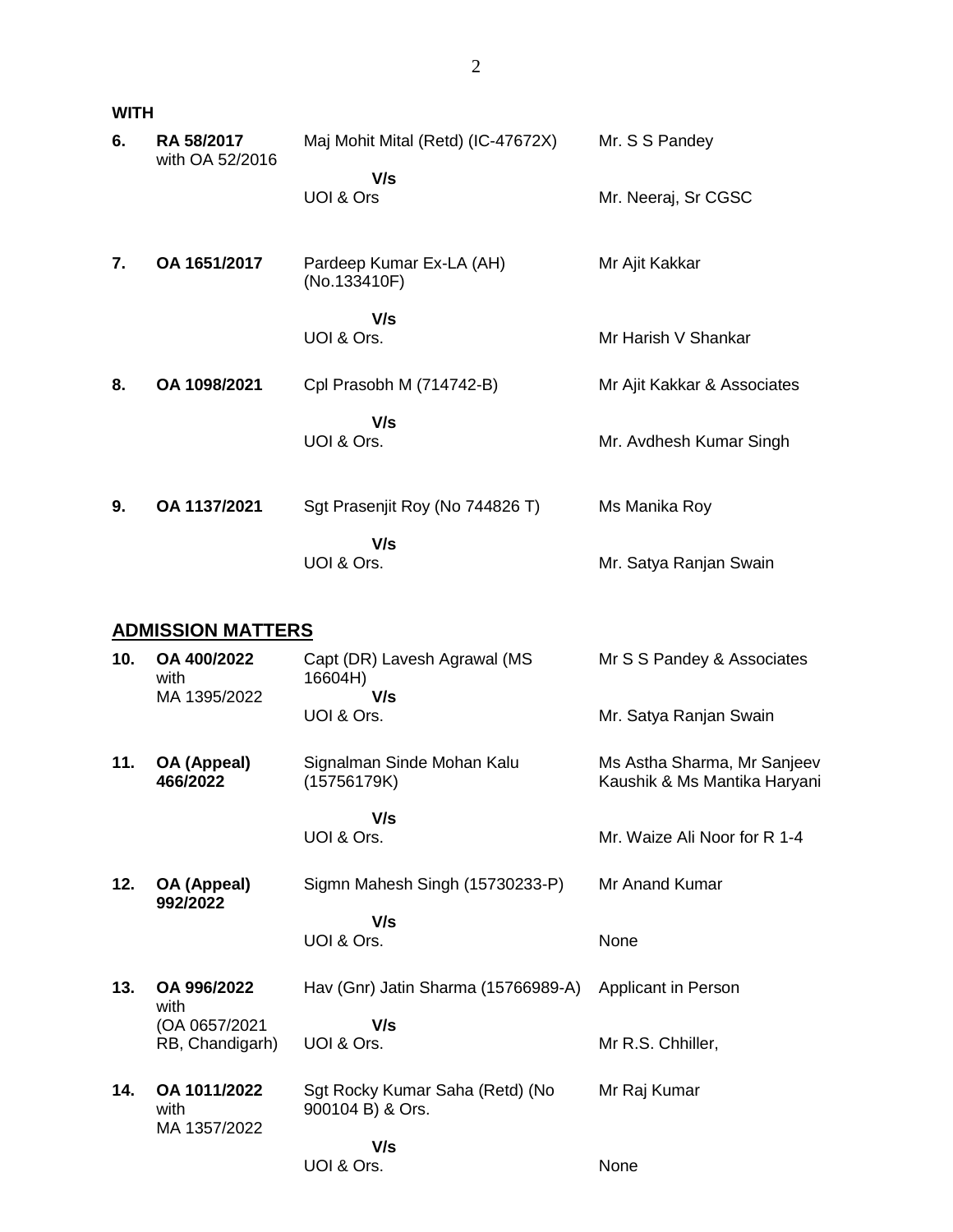| <b>WITH</b> |                                      |                                                        |                                       |
|-------------|--------------------------------------|--------------------------------------------------------|---------------------------------------|
| 6.          | <b>RA 58/2017</b><br>with OA 52/2016 | Maj Mohit Mital (Retd) (IC-47672X)<br>V/s<br>UOI & Ors | Mr. S S Pandey<br>Mr. Neeraj, Sr CGSC |
| 7.          | OA 1651/2017                         | Pardeep Kumar Ex-LA (AH)<br>(No.133410F)               | Mr Ajit Kakkar                        |
|             |                                      | V/s<br>UOI & Ors.                                      | Mr Harish V Shankar                   |
| 8.          | OA 1098/2021                         | Cpl Prasobh M (714742-B)                               | Mr Ajit Kakkar & Associates           |
|             |                                      | V/s<br>UOI & Ors.                                      | Mr. Avdhesh Kumar Singh               |
| 9.          | OA 1137/2021                         | Sgt Prasenjit Roy (No 744826 T)                        | Ms Manika Roy                         |
|             |                                      | V/s<br>UOI & Ors.                                      | Mr. Satya Ranjan Swain                |

#### **ADMISSION MATTERS**

| 10. | OA 400/2022<br>with<br>MA 1395/2022  | Capt (DR) Lavesh Agrawal (MS<br>16604H)<br>V/s      | Mr S S Pandey & Associates                                  |
|-----|--------------------------------------|-----------------------------------------------------|-------------------------------------------------------------|
|     |                                      | UOI & Ors.                                          | Mr. Satya Ranjan Swain                                      |
| 11. | OA (Appeal)<br>466/2022              | Signalman Sinde Mohan Kalu<br>(15756179K)           | Ms Astha Sharma, Mr Sanjeev<br>Kaushik & Ms Mantika Haryani |
|     |                                      | V/s                                                 |                                                             |
|     |                                      | UOI & Ors.                                          | Mr. Waize Ali Noor for R 1-4                                |
| 12. | OA (Appeal)<br>992/2022              | Sigmn Mahesh Singh (15730233-P)                     | Mr Anand Kumar                                              |
|     |                                      | V/s                                                 |                                                             |
|     |                                      | UOI & Ors.                                          | None                                                        |
| 13. | OA 996/2022<br>with                  | Hav (Gnr) Jatin Sharma (15766989-A)                 | Applicant in Person                                         |
|     | (OA 0657/2021                        | V/s                                                 |                                                             |
|     | RB, Chandigarh)                      | UOI & Ors.                                          | Mr R.S. Chhiller,                                           |
| 14. | OA 1011/2022<br>with<br>MA 1357/2022 | Sgt Rocky Kumar Saha (Retd) (No<br>900104 B) & Ors. | Mr Raj Kumar                                                |
|     |                                      | V/s                                                 |                                                             |
|     |                                      | UOI & Ors.                                          | None                                                        |
|     |                                      |                                                     |                                                             |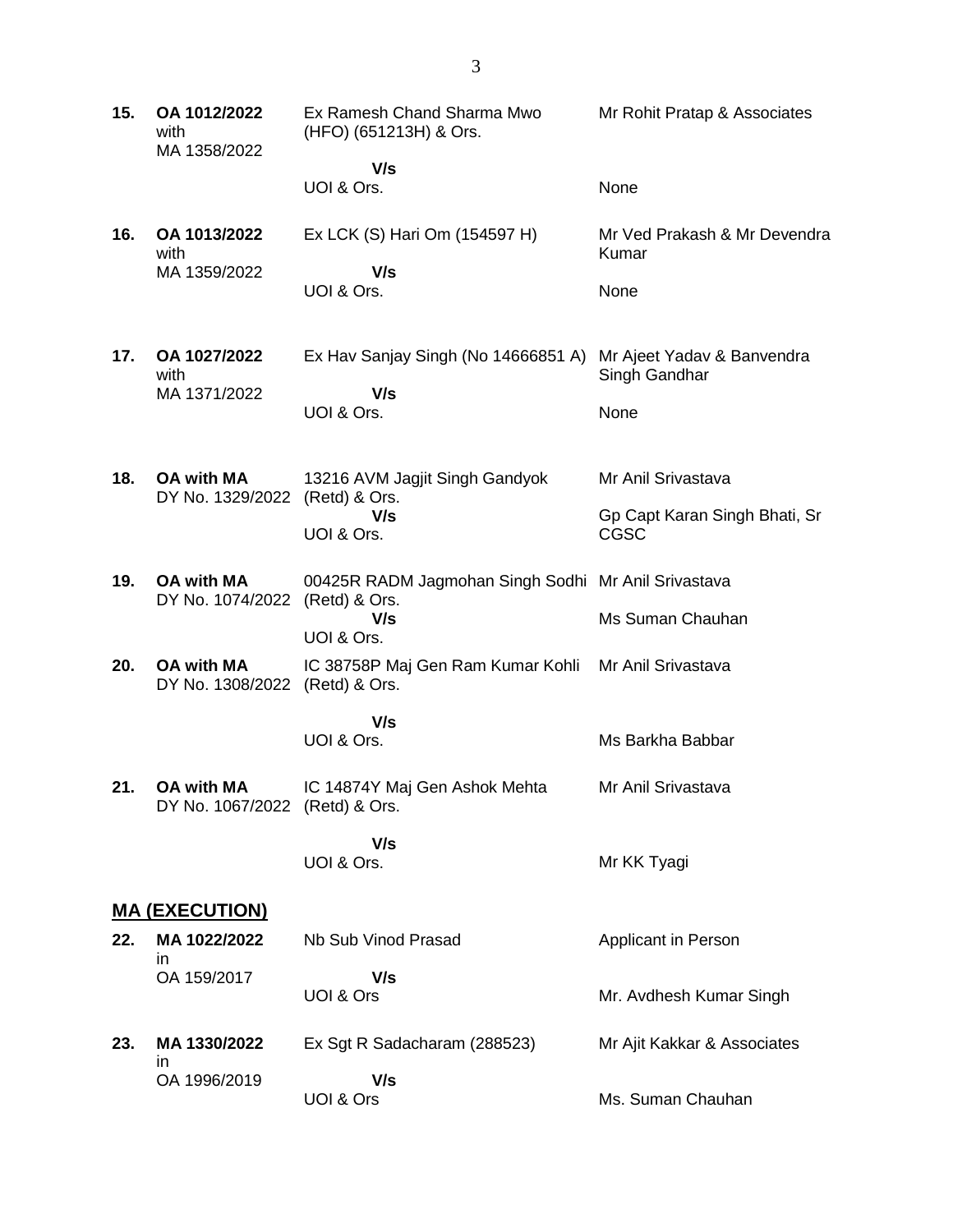**15. OA 1012/2022** with MA 1358/2022 Ex Ramesh Chand Sharma Mwo (HFO) (651213H) & Ors.  **V/s** UOI & Ors. Mr Rohit Pratap & Associates None **16. OA 1013/2022** with MA 1359/2022 Ex LCK (S) Hari Om (154597 H)  **V/s** UOI & Ors. Mr Ved Prakash & Mr Devendra Kumar None **17. OA 1027/2022** with MA 1371/2022 Ex Hav Sanjay Singh (No 14666851 A) Mr Ajeet Yadav & Banvendra  **V/s** UOI & Ors. Singh Gandhar None **18. OA with MA**  DY No. 1329/2022 (Retd) & Ors. 13216 AVM Jagjit Singh Gandyok  **V/s** UOI & Ors. Mr Anil Srivastava Gp Capt Karan Singh Bhati, Sr CGSC **19. OA with MA**  DY No. 1074/2022 (Retd) & Ors. 00425R RADM Jagmohan Singh Sodhi Mr Anil Srivastava  **V/s** UOI & Ors. Ms Suman Chauhan **20. OA with MA**  DY No. 1308/2022 (Retd) & Ors. IC 38758P Maj Gen Ram Kumar Kohli Mr Anil Srivastava  **V/s** UOI & Ors. Ms Barkha Babbar **21. OA with MA**  DY No. 1067/2022 (Retd) & Ors. IC 14874Y Maj Gen Ashok Mehta  **V/s** UOI & Ors. Mr Anil Srivastava Mr KK Tyagi **MA (EXECUTION) 22. MA 1022/2022** in OA 159/2017 Nb Sub Vinod Prasad  **V/s** UOI & Ors Applicant in Person Mr. Avdhesh Kumar Singh **23. MA 1330/2022** in OA 1996/2019 Ex Sgt R Sadacharam (288523)  **V/s** UOI & Ors Mr Ajit Kakkar & Associates Ms. Suman Chauhan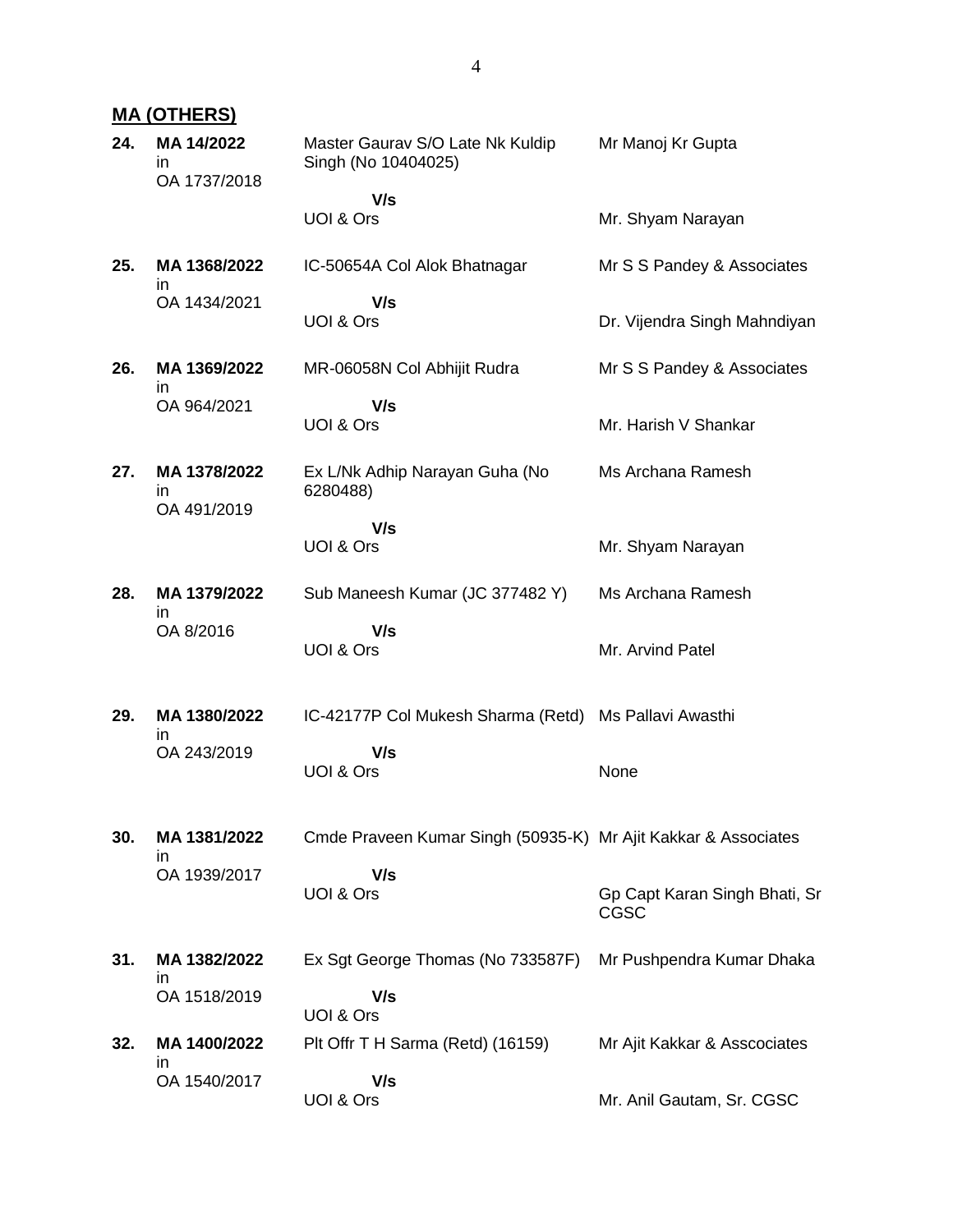### **MA (OTHERS)**

| 24. | MA 14/2022<br>ın<br>OA 1737/2018 | Master Gaurav S/O Late Nk Kuldip<br>Singh (No 10404025)        | Mr Manoj Kr Gupta                     |
|-----|----------------------------------|----------------------------------------------------------------|---------------------------------------|
|     |                                  | V/s                                                            |                                       |
|     |                                  | UOI & Ors                                                      | Mr. Shyam Narayan                     |
| 25. | MA 1368/2022<br>ın               | IC-50654A Col Alok Bhatnagar                                   | Mr S S Pandey & Associates            |
|     | OA 1434/2021                     | V/s<br>UOI & Ors                                               | Dr. Vijendra Singh Mahndiyan          |
| 26. | MA 1369/2022<br>ın               | MR-06058N Col Abhijit Rudra                                    | Mr S S Pandey & Associates            |
|     | OA 964/2021                      | V/s<br>UOI & Ors                                               | Mr. Harish V Shankar                  |
| 27. | MA 1378/2022<br>in               | Ex L/Nk Adhip Narayan Guha (No<br>6280488)                     | Ms Archana Ramesh                     |
|     | OA 491/2019                      | V/s                                                            |                                       |
|     |                                  | UOI & Ors                                                      | Mr. Shyam Narayan                     |
| 28. | MA 1379/2022<br>ın               | Sub Maneesh Kumar (JC 377482 Y)                                | Ms Archana Ramesh                     |
|     | OA 8/2016                        | V/s<br>UOI & Ors                                               | Mr. Arvind Patel                      |
| 29. | MA 1380/2022<br>in.              | IC-42177P Col Mukesh Sharma (Retd) Ms Pallavi Awasthi          |                                       |
|     | OA 243/2019                      | V/s<br>UOI & Ors                                               | None                                  |
| 30. | MA 1381/2022<br>ın               | Cmde Praveen Kumar Singh (50935-K) Mr Ajit Kakkar & Associates |                                       |
|     | OA 1939/2017                     | V/s<br>UOI & Ors                                               | Gp Capt Karan Singh Bhati, Sr<br>CGSC |
| 31. | MA 1382/2022<br>ın               | Ex Sgt George Thomas (No 733587F)                              | Mr Pushpendra Kumar Dhaka             |
|     | OA 1518/2019                     | V/s<br>UOI & Ors                                               |                                       |
| 32. | MA 1400/2022                     | Plt Offr T H Sarma (Retd) (16159)                              | Mr Ajit Kakkar & Asscociates          |
|     | in.<br>OA 1540/2017              | V/s<br>UOI & Ors                                               | Mr. Anil Gautam, Sr. CGSC             |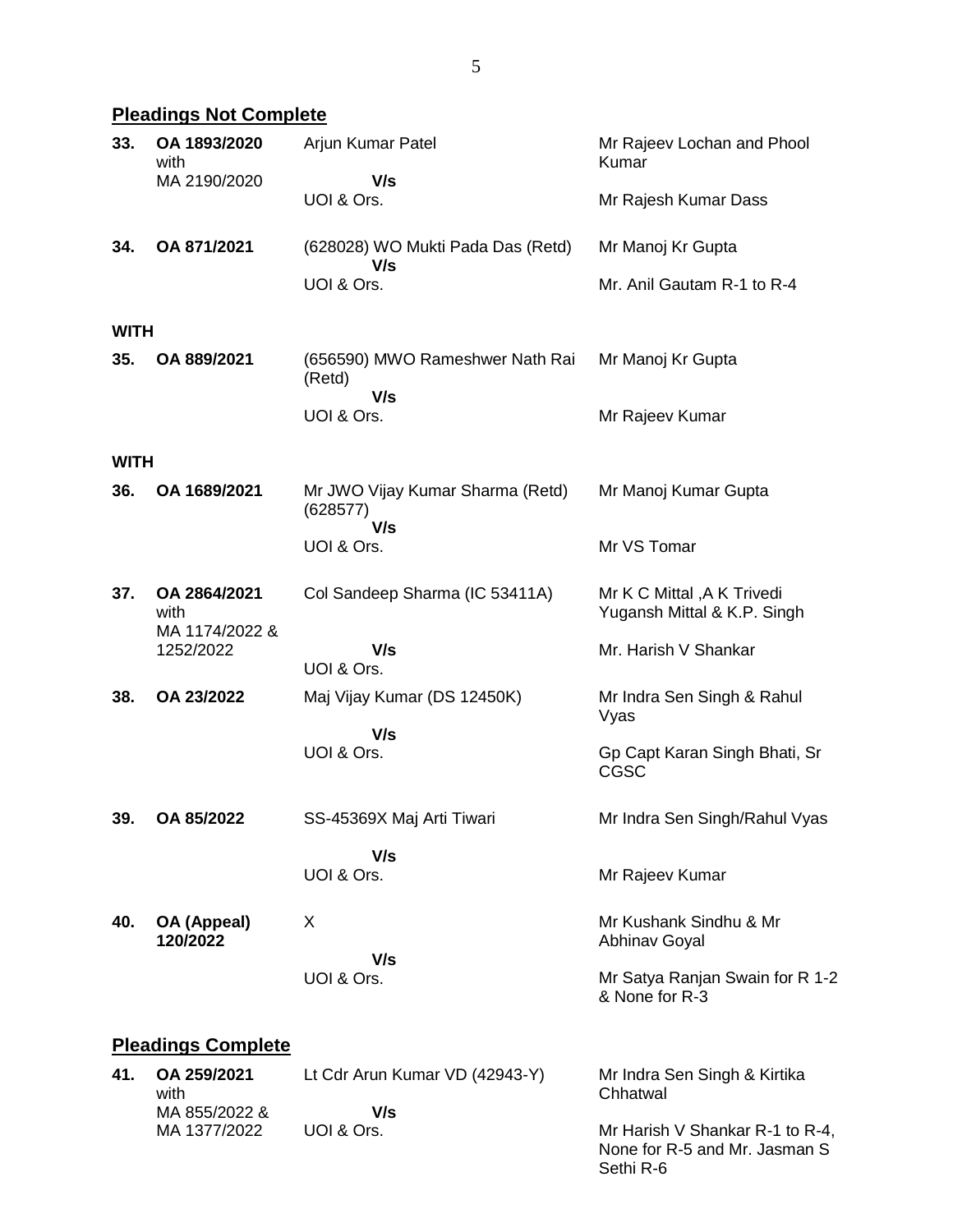# **Pleadings Not Complete**

| 33.         | OA 1893/2020<br>with          | Arjun Kumar Patel                                   | Mr Rajeev Lochan and Phool<br>Kumar                                           |
|-------------|-------------------------------|-----------------------------------------------------|-------------------------------------------------------------------------------|
|             | MA 2190/2020                  | V/s<br>UOI & Ors.                                   | Mr Rajesh Kumar Dass                                                          |
| 34.         | OA 871/2021                   | (628028) WO Mukti Pada Das (Retd)                   | Mr Manoj Kr Gupta                                                             |
|             |                               | V/s<br>UOI & Ors.                                   | Mr. Anil Gautam R-1 to R-4                                                    |
| <b>WITH</b> |                               |                                                     |                                                                               |
| 35.         | OA 889/2021                   | (656590) MWO Rameshwer Nath Rai<br>(Retd)<br>V/s    | Mr Manoj Kr Gupta                                                             |
|             |                               | UOI & Ors.                                          | Mr Rajeev Kumar                                                               |
| <b>WITH</b> |                               |                                                     |                                                                               |
| 36.         | OA 1689/2021                  | Mr JWO Vijay Kumar Sharma (Retd)<br>(628577)<br>V/s | Mr Manoj Kumar Gupta                                                          |
|             |                               | UOI & Ors.                                          | Mr VS Tomar                                                                   |
| 37.         | OA 2864/2021<br>with          | Col Sandeep Sharma (IC 53411A)                      | Mr K C Mittal , A K Trivedi<br>Yugansh Mittal & K.P. Singh                    |
|             | MA 1174/2022 &<br>1252/2022   | V/s<br>UOI & Ors.                                   | Mr. Harish V Shankar                                                          |
| 38.         | OA 23/2022                    | Maj Vijay Kumar (DS 12450K)                         | Mr Indra Sen Singh & Rahul<br>Vyas                                            |
|             |                               | V/s<br>UOI & Ors.                                   | Gp Capt Karan Singh Bhati, Sr<br>CGSC                                         |
| 39.         | OA 85/2022                    | SS-45369X Maj Arti Tiwari                           | Mr Indra Sen Singh/Rahul Vyas                                                 |
|             |                               | V/s<br>UOI & Ors.                                   | Mr Rajeev Kumar                                                               |
| 40.         | OA (Appeal)<br>120/2022       | X                                                   | Mr Kushank Sindhu & Mr<br><b>Abhinav Goyal</b>                                |
|             |                               | V/s<br>UOI & Ors.                                   | Mr Satya Ranjan Swain for R 1-2<br>& None for R-3                             |
|             | <b>Pleadings Complete</b>     |                                                     |                                                                               |
| 41.         | OA 259/2021<br>with           | Lt Cdr Arun Kumar VD (42943-Y)                      | Mr Indra Sen Singh & Kirtika<br>Chhatwal                                      |
|             | MA 855/2022 &<br>MA 1377/2022 | V/s<br>UOI & Ors.                                   | Mr Harish V Shankar R-1 to R-4,<br>None for R-5 and Mr. Jasman S<br>Sethi R-6 |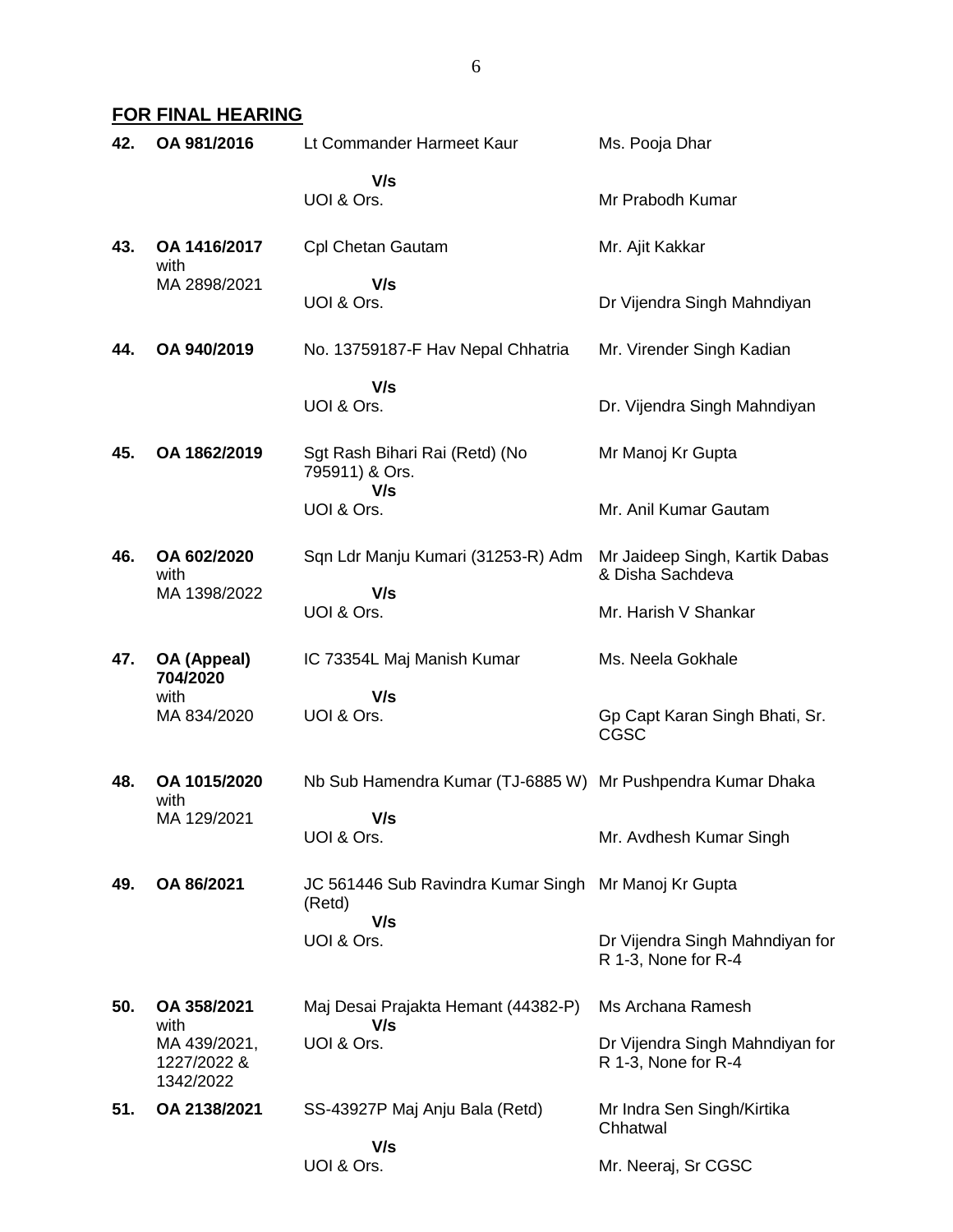### **FOR FINAL HEARING**

| 42. | OA 981/2016                              | Lt Commander Harmeet Kaur                               | Ms. Pooja Dhar                                         |
|-----|------------------------------------------|---------------------------------------------------------|--------------------------------------------------------|
|     |                                          | V/s<br>UOI & Ors.                                       | Mr Prabodh Kumar                                       |
| 43. | OA 1416/2017<br>with                     | Cpl Chetan Gautam                                       | Mr. Ajit Kakkar                                        |
|     | MA 2898/2021                             | V/s<br>UOI & Ors.                                       | Dr Vijendra Singh Mahndiyan                            |
| 44. | OA 940/2019                              | No. 13759187-F Hav Nepal Chhatria                       | Mr. Virender Singh Kadian                              |
|     |                                          | V/s<br>UOI & Ors.                                       | Dr. Vijendra Singh Mahndiyan                           |
| 45. | OA 1862/2019                             | Sgt Rash Bihari Rai (Retd) (No<br>795911) & Ors.<br>V/s | Mr Manoj Kr Gupta                                      |
|     |                                          | UOI & Ors.                                              | Mr. Anil Kumar Gautam                                  |
| 46. | OA 602/2020<br>with                      | Sqn Ldr Manju Kumari (31253-R) Adm<br>V/s               | Mr Jaideep Singh, Kartik Dabas<br>& Disha Sachdeva     |
|     | MA 1398/2022                             | UOI & Ors.                                              | Mr. Harish V Shankar                                   |
| 47. | OA (Appeal)<br>704/2020                  | IC 73354L Maj Manish Kumar                              | Ms. Neela Gokhale                                      |
|     | with<br>MA 834/2020                      | V/s<br>UOI & Ors.                                       | Gp Capt Karan Singh Bhati, Sr.<br>CGSC                 |
| 48. | OA 1015/2020<br>with                     | Nb Sub Hamendra Kumar (TJ-6885 W)                       | Mr Pushpendra Kumar Dhaka                              |
|     | MA 129/2021                              | V/s<br>UOI & Ors.                                       | Mr. Avdhesh Kumar Singh                                |
| 49. | OA 86/2021                               | JC 561446 Sub Ravindra Kumar Singh<br>(Retd)            | Mr Manoj Kr Gupta                                      |
|     |                                          | V/s<br>UOI & Ors.                                       | Dr Vijendra Singh Mahndiyan for<br>R 1-3, None for R-4 |
| 50. | OA 358/2021<br>with                      | Maj Desai Prajakta Hemant (44382-P)<br>V/s              | Ms Archana Ramesh                                      |
|     | MA 439/2021,<br>1227/2022 &<br>1342/2022 | UOI & Ors.                                              | Dr Vijendra Singh Mahndiyan for<br>R 1-3, None for R-4 |
| 51. | OA 2138/2021                             | SS-43927P Maj Anju Bala (Retd)                          | Mr Indra Sen Singh/Kirtika<br>Chhatwal                 |
|     |                                          | V/s<br>UOI & Ors.                                       | Mr. Neeraj, Sr CGSC                                    |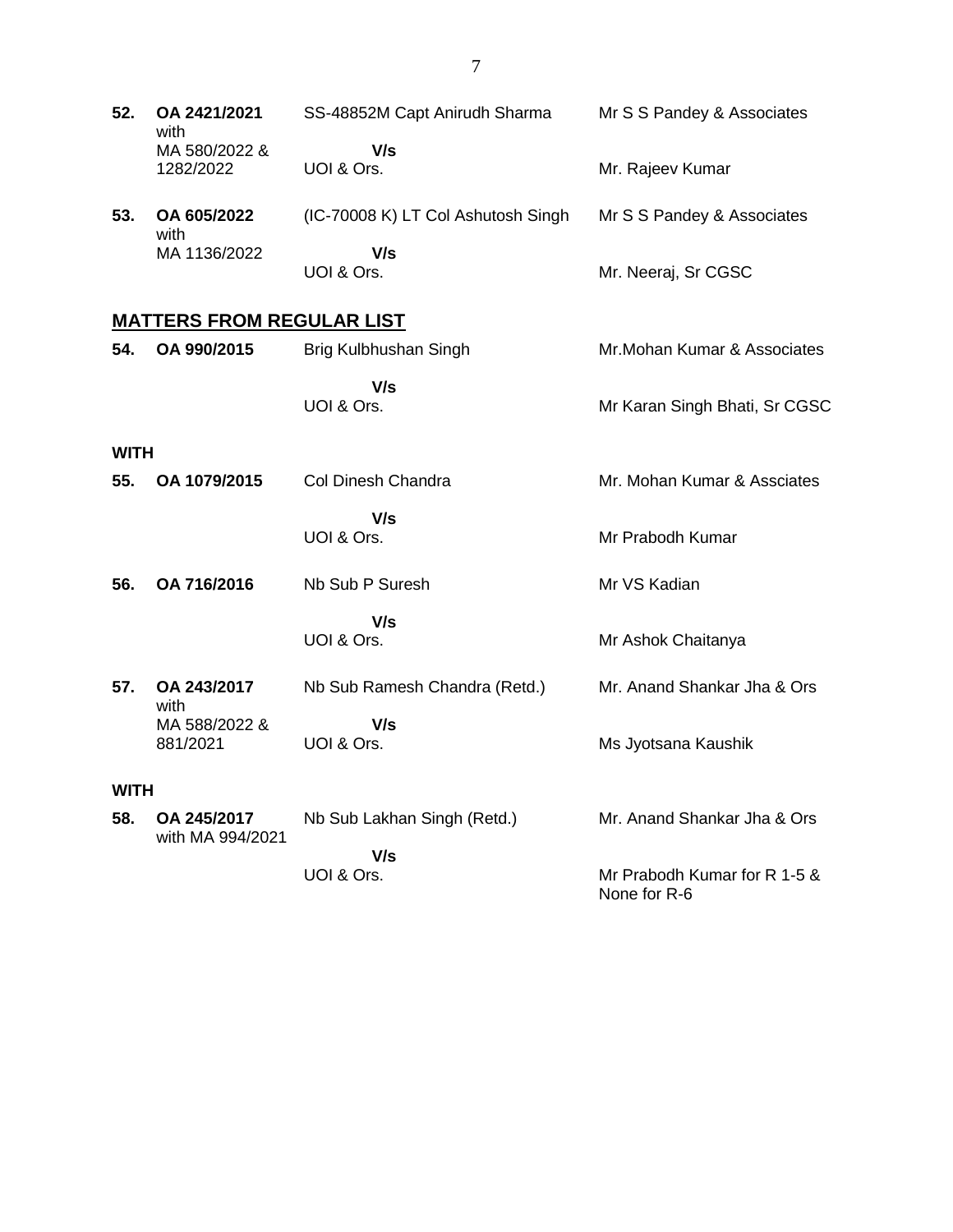| 52. | OA 2421/2021<br>with       | SS-48852M Capt Anirudh Sharma      | Mr S S Pandey & Associates |
|-----|----------------------------|------------------------------------|----------------------------|
|     | MA 580/2022 &<br>1282/2022 | V/s<br>UOI & Ors.                  | Mr. Rajeev Kumar           |
| 53. | OA 605/2022                | (IC-70008 K) LT Col Ashutosh Singh | Mr S S Pandey & Associates |
|     | with<br>MA 1136/2022       | V/s<br>UOI & Ors.                  | Mr. Neeraj, Sr CGSC        |

### **MATTERS FROM REGULAR LIST**

| 54.         | OA 990/2015                       | Brig Kulbhushan Singh         | Mr. Mohan Kumar & Associates                 |
|-------------|-----------------------------------|-------------------------------|----------------------------------------------|
|             |                                   | V/s<br>UOI & Ors.             | Mr Karan Singh Bhati, Sr CGSC                |
| <b>WITH</b> |                                   |                               |                                              |
| 55.         | OA 1079/2015                      | Col Dinesh Chandra            | Mr. Mohan Kumar & Assciates                  |
|             |                                   | V/s<br>UOI & Ors.             | Mr Prabodh Kumar                             |
| 56.         | OA 716/2016                       | Nb Sub P Suresh               | Mr VS Kadian                                 |
|             |                                   | V/s<br>UOI & Ors.             | Mr Ashok Chaitanya                           |
| 57.         | OA 243/2017                       | Nb Sub Ramesh Chandra (Retd.) | Mr. Anand Shankar Jha & Ors                  |
|             | with<br>MA 588/2022 &<br>881/2021 | V/s<br>UOI & Ors.             | Ms Jyotsana Kaushik                          |
| <b>WITH</b> |                                   |                               |                                              |
| 58.         | OA 245/2017<br>with MA 994/2021   | Nb Sub Lakhan Singh (Retd.)   | Mr. Anand Shankar Jha & Ors                  |
|             |                                   | V/s<br>UOI & Ors.             | Mr Prabodh Kumar for R 1-5 &<br>None for R-6 |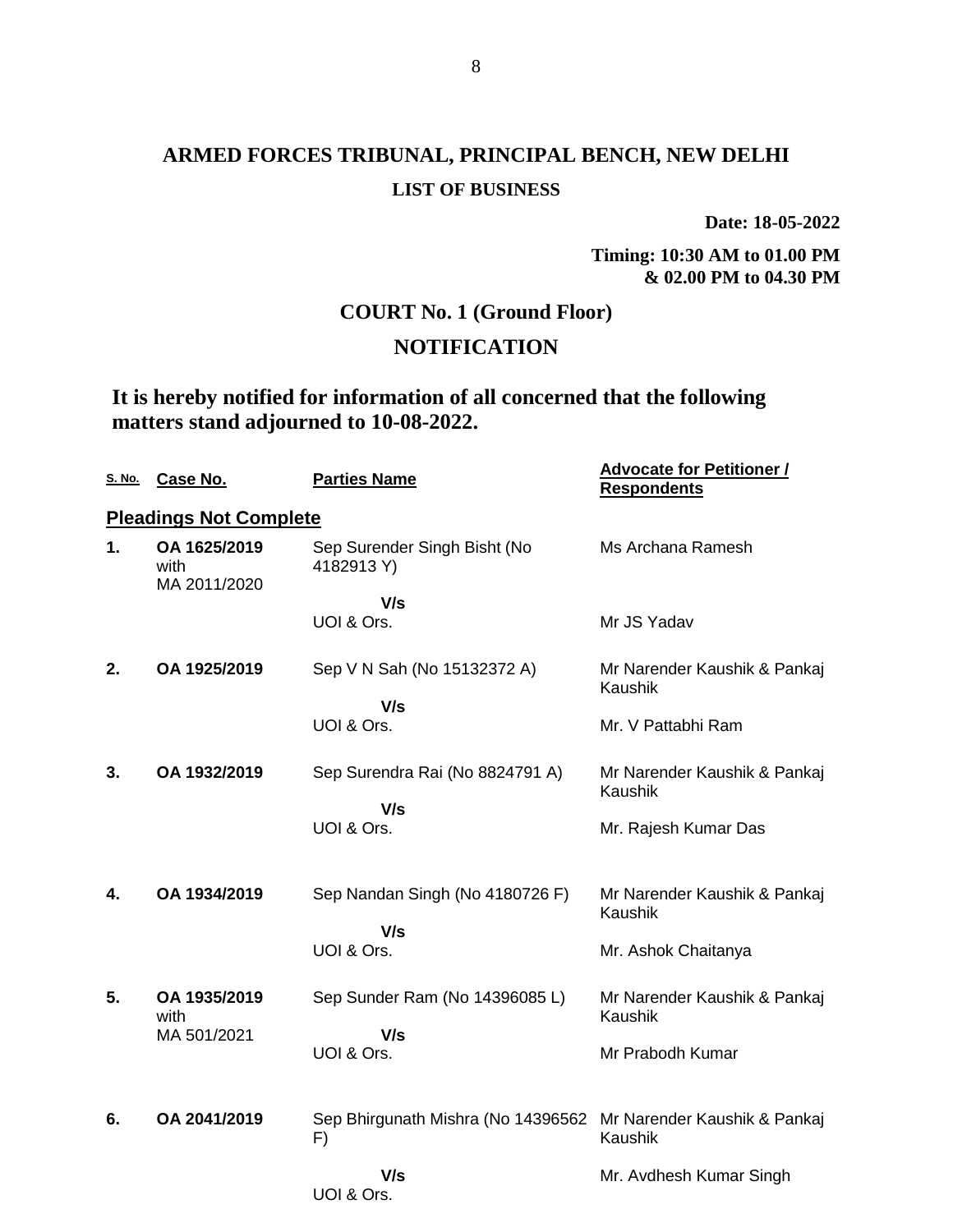# **ARMED FORCES TRIBUNAL, PRINCIPAL BENCH, NEW DELHI LIST OF BUSINESS**

**Date: 18-05-2022**

**Timing: 10:30 AM to 01.00 PM & 02.00 PM to 04.30 PM**

## **COURT No. 1 (Ground Floor)**

## **NOTIFICATION**

**It is hereby notified for information of all concerned that the following matters stand adjourned to 10-08-2022.**

| <u>S. No.</u> | Case No.                             | <b>Parties Name</b>                                                   | <b>Advocate for Petitioner /</b><br><b>Respondents</b> |
|---------------|--------------------------------------|-----------------------------------------------------------------------|--------------------------------------------------------|
|               | <b>Pleadings Not Complete</b>        |                                                                       |                                                        |
| 1.            | OA 1625/2019<br>with<br>MA 2011/2020 | Sep Surender Singh Bisht (No<br>4182913 Y)                            | Ms Archana Ramesh                                      |
|               |                                      | V/s<br>UOI & Ors.                                                     | Mr JS Yadav                                            |
| 2.            | OA 1925/2019                         | Sep V N Sah (No 15132372 A)                                           | Mr Narender Kaushik & Pankaj<br>Kaushik                |
|               |                                      | V/s<br>UOI & Ors.                                                     | Mr. V Pattabhi Ram                                     |
| 3.            | OA 1932/2019                         | Sep Surendra Rai (No 8824791 A)                                       | Mr Narender Kaushik & Pankaj<br>Kaushik                |
|               |                                      | V/s<br>UOI & Ors.                                                     | Mr. Rajesh Kumar Das                                   |
| 4.            | OA 1934/2019                         | Sep Nandan Singh (No 4180726 F)<br>V/s                                | Mr Narender Kaushik & Pankaj<br>Kaushik                |
|               |                                      | UOI & Ors.                                                            | Mr. Ashok Chaitanya                                    |
| 5.            | OA 1935/2019<br>with                 | Sep Sunder Ram (No 14396085 L)<br>V/s                                 | Mr Narender Kaushik & Pankaj<br>Kaushik                |
|               | MA 501/2021                          | UOI & Ors.                                                            | Mr Prabodh Kumar                                       |
| 6.            | OA 2041/2019                         | Sep Bhirgunath Mishra (No 14396562 Mr Narender Kaushik & Pankaj<br>F) | Kaushik                                                |
|               |                                      | V/s<br>UOI & Ors.                                                     | Mr. Avdhesh Kumar Singh                                |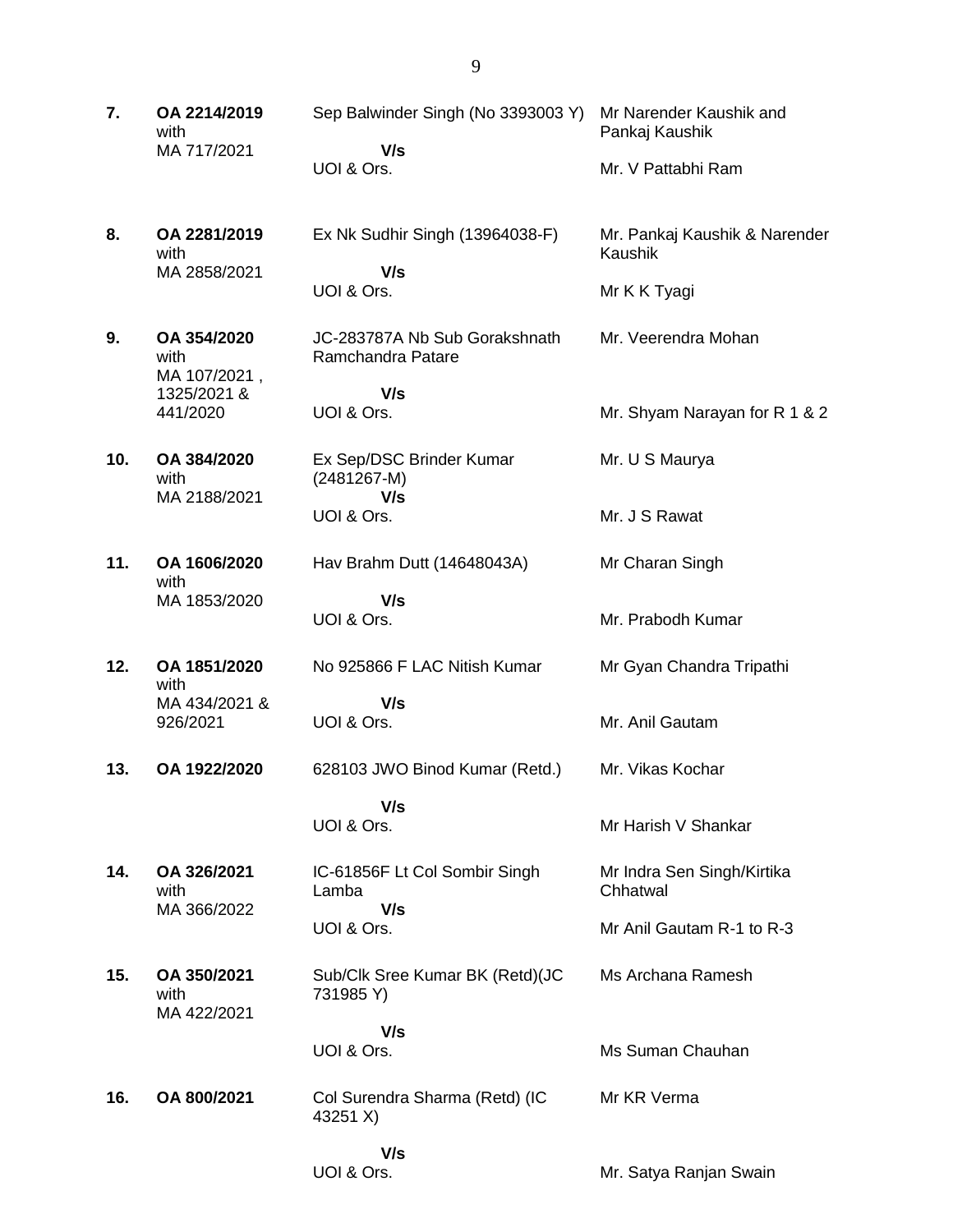- **7. OA 2214/2019** with MA 717/2021 Sep Balwinder Singh (No 3393003 Y) Mr Narender Kaushik and  **V/s** UOI & Ors. Pankaj Kaushik Mr. V Pattabhi Ram
- **8. OA 2281/2019** with MA 2858/2021 Ex Nk Sudhir Singh (13964038-F)  **V/s** UOI & Ors. Mr. Pankaj Kaushik & Narender Kaushik Mr K K Tyagi
- **9. OA 354/2020** with MA 107/2021 , 1325/2021 & JC-283787A Nb Sub Gorakshnath Ramchandra Patare  **V/s**

UOI & Ors.

- **10. OA 384/2020** with MA 2188/2021 Ex Sep/DSC Brinder Kumar (2481267-M)  **V/s** UOI & Ors.
- **11. OA 1606/2020** with MA 1853/2020

441/2020

 **V/s** UOI & Ors.

**12. OA 1851/2020** with MA 434/2021 & 926/2021 No 925866 F LAC Nitish Kumar  **V/s** UOI & Ors. Mr Gyan Chandra Tripathi Mr. Anil Gautam

Hav Brahm Dutt (14648043A)

**13. OA 1922/2020** 628103 JWO Binod Kumar (Retd.)

 **V/s** UOI & Ors.

- **14. OA 326/2021** with MA 366/2022 IC-61856F Lt Col Sombir Singh Lamba  **V/s** UOI & Ors.
- **15. OA 350/2021** with MA 422/2021 Sub/Clk Sree Kumar BK (Retd)(JC 731985 Y)

 **V/s** UOI & Ors.

**16. OA 800/2021** Col Surendra Sharma (Retd) (IC 43251 X) Mr KR Verma

Mr. Veerendra Mohan

Mr. U S Maurya

Mr. J S Rawat

Mr Charan Singh

Mr. Prabodh Kumar

Mr. Vikas Kochar

Chhatwal

Mr Harish V Shankar

Mr Indra Sen Singh/Kirtika

Mr Anil Gautam R-1 to R-3

Ms Archana Ramesh

Ms Suman Chauhan

Mr. Shyam Narayan for R 1 & 2

9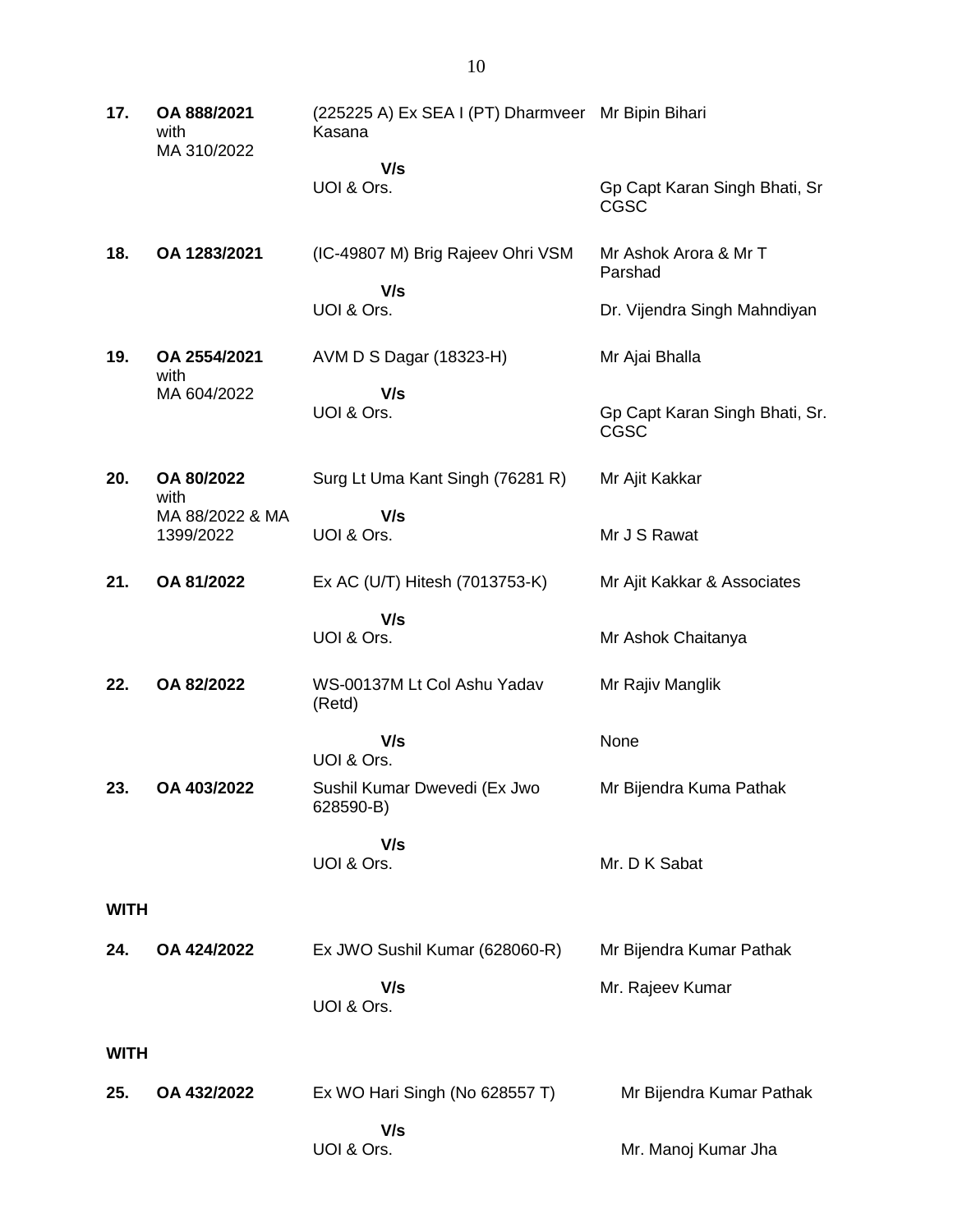| 17.         | OA 888/2021<br>with<br>MA 310/2022 | (225225 A) Ex SEA I (PT) Dharmveer Mr Bipin Bihari<br>Kasana |                                               |
|-------------|------------------------------------|--------------------------------------------------------------|-----------------------------------------------|
|             |                                    | V/s<br>UOI & Ors.                                            | Gp Capt Karan Singh Bhati, Sr<br><b>CGSC</b>  |
| 18.         | OA 1283/2021                       | (IC-49807 M) Brig Rajeev Ohri VSM                            | Mr Ashok Arora & Mr T<br>Parshad              |
|             |                                    | V/s<br>UOI & Ors.                                            | Dr. Vijendra Singh Mahndiyan                  |
| 19.         | OA 2554/2021<br>with               | AVM D S Dagar (18323-H)                                      | Mr Ajai Bhalla                                |
|             | MA 604/2022                        | V/s<br>UOI & Ors.                                            | Gp Capt Karan Singh Bhati, Sr.<br><b>CGSC</b> |
| 20.         | OA 80/2022<br>with                 | Surg Lt Uma Kant Singh (76281 R)                             | Mr Ajit Kakkar                                |
|             | MA 88/2022 & MA<br>1399/2022       | V/s<br>UOI & Ors.                                            | Mr J S Rawat                                  |
| 21.         | OA 81/2022                         | Ex AC (U/T) Hitesh (7013753-K)                               | Mr Ajit Kakkar & Associates                   |
|             |                                    | V/s<br>UOI & Ors.                                            | Mr Ashok Chaitanya                            |
| 22.         | OA 82/2022                         | WS-00137M Lt Col Ashu Yadav<br>(Retd)                        | Mr Rajiv Manglik                              |
|             |                                    | V/s<br>UOI & Ors.                                            | None                                          |
| 23.         | OA 403/2022                        | Sushil Kumar Dwevedi (Ex Jwo<br>628590-B)                    | Mr Bijendra Kuma Pathak                       |
|             |                                    | V/s<br>UOI & Ors.                                            | Mr. D K Sabat                                 |
| <b>WITH</b> |                                    |                                                              |                                               |
| 24.         | OA 424/2022                        | Ex JWO Sushil Kumar (628060-R)                               | Mr Bijendra Kumar Pathak                      |
|             |                                    | V/s<br>UOI & Ors.                                            | Mr. Rajeev Kumar                              |
| <b>WITH</b> |                                    |                                                              |                                               |
| 25.         | OA 432/2022                        | Ex WO Hari Singh (No 628557 T)                               | Mr Bijendra Kumar Pathak                      |
|             |                                    | V/s<br>UOI & Ors.                                            | Mr. Manoj Kumar Jha                           |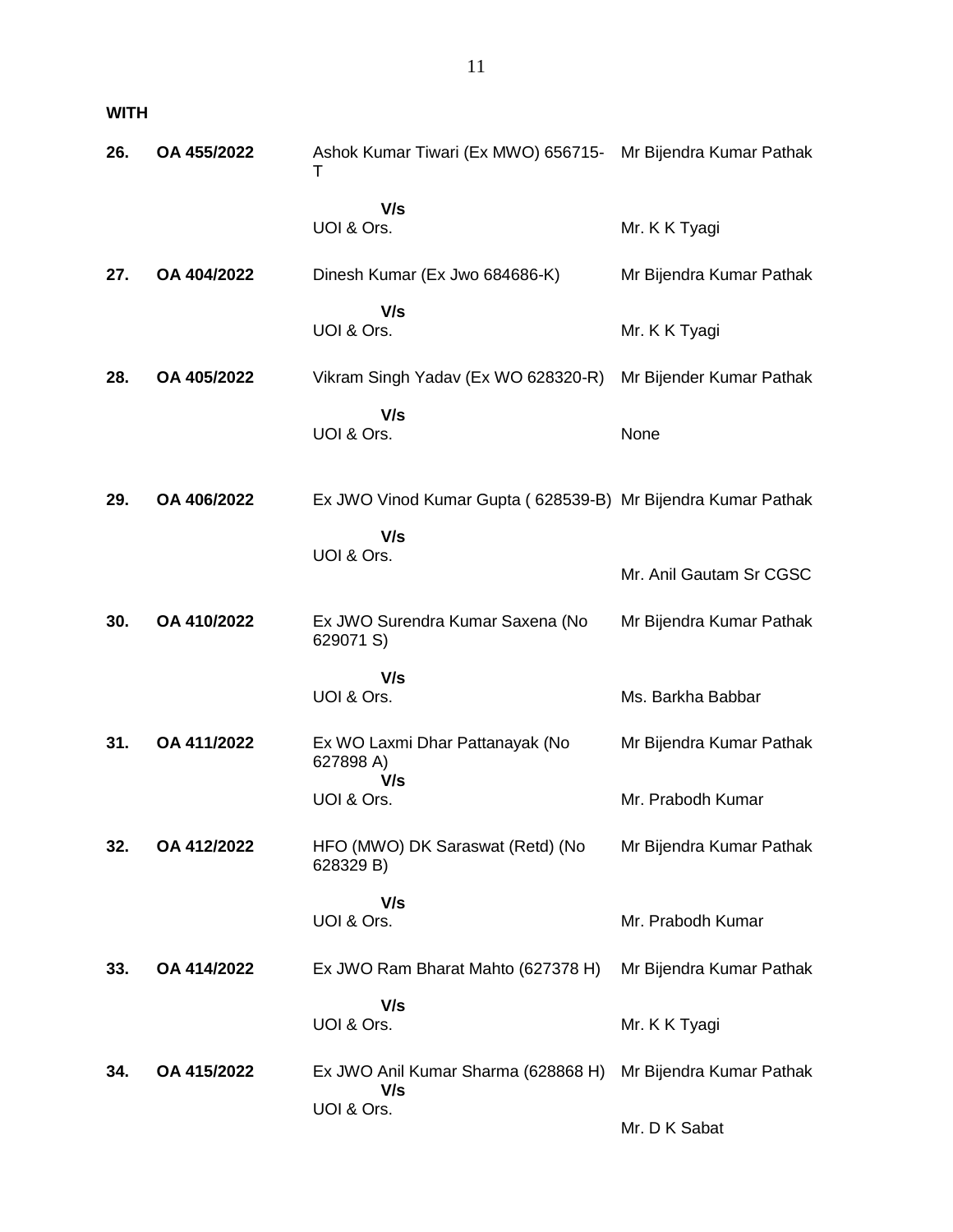**WITH**

| 26. | OA 455/2022 | Ashok Kumar Tiwari (Ex MWO) 656715- Mr Bijendra Kumar Pathak<br>Т |                          |
|-----|-------------|-------------------------------------------------------------------|--------------------------|
|     |             | V/s<br>UOI & Ors.                                                 | Mr. K K Tyagi            |
| 27. | OA 404/2022 | Dinesh Kumar (Ex Jwo 684686-K)                                    | Mr Bijendra Kumar Pathak |
|     |             | V/s<br>UOI & Ors.                                                 | Mr. K K Tyagi            |
| 28. | OA 405/2022 | Vikram Singh Yadav (Ex WO 628320-R)                               | Mr Bijender Kumar Pathak |
|     |             | V/s<br>UOI & Ors.                                                 | None                     |
| 29. | OA 406/2022 | Ex JWO Vinod Kumar Gupta (628539-B) Mr Bijendra Kumar Pathak      |                          |
|     |             | V/s<br>UOI & Ors.                                                 |                          |
|     |             |                                                                   | Mr. Anil Gautam Sr CGSC  |
| 30. | OA 410/2022 | Ex JWO Surendra Kumar Saxena (No<br>629071 S)                     | Mr Bijendra Kumar Pathak |
|     |             | V/s<br>UOI & Ors.                                                 | Ms. Barkha Babbar        |
| 31. | OA 411/2022 | Ex WO Laxmi Dhar Pattanayak (No<br>627898 A)<br>V/s               | Mr Bijendra Kumar Pathak |
|     |             | UOI & Ors.                                                        | Mr. Prabodh Kumar        |
| 32. | OA 412/2022 | HFO (MWO) DK Saraswat (Retd) (No<br>628329 B)                     | Mr Bijendra Kumar Pathak |
|     |             | V/s<br>UOI & Ors.                                                 | Mr. Prabodh Kumar        |
| 33. | OA 414/2022 | Ex JWO Ram Bharat Mahto (627378 H)                                | Mr Bijendra Kumar Pathak |
|     |             | V/s<br>UOI & Ors.                                                 | Mr. K K Tyagi            |
| 34. | OA 415/2022 | Ex JWO Anil Kumar Sharma (628868 H)<br>V/s                        | Mr Bijendra Kumar Pathak |
|     |             | UOI & Ors.                                                        | Mr. D K Sabat            |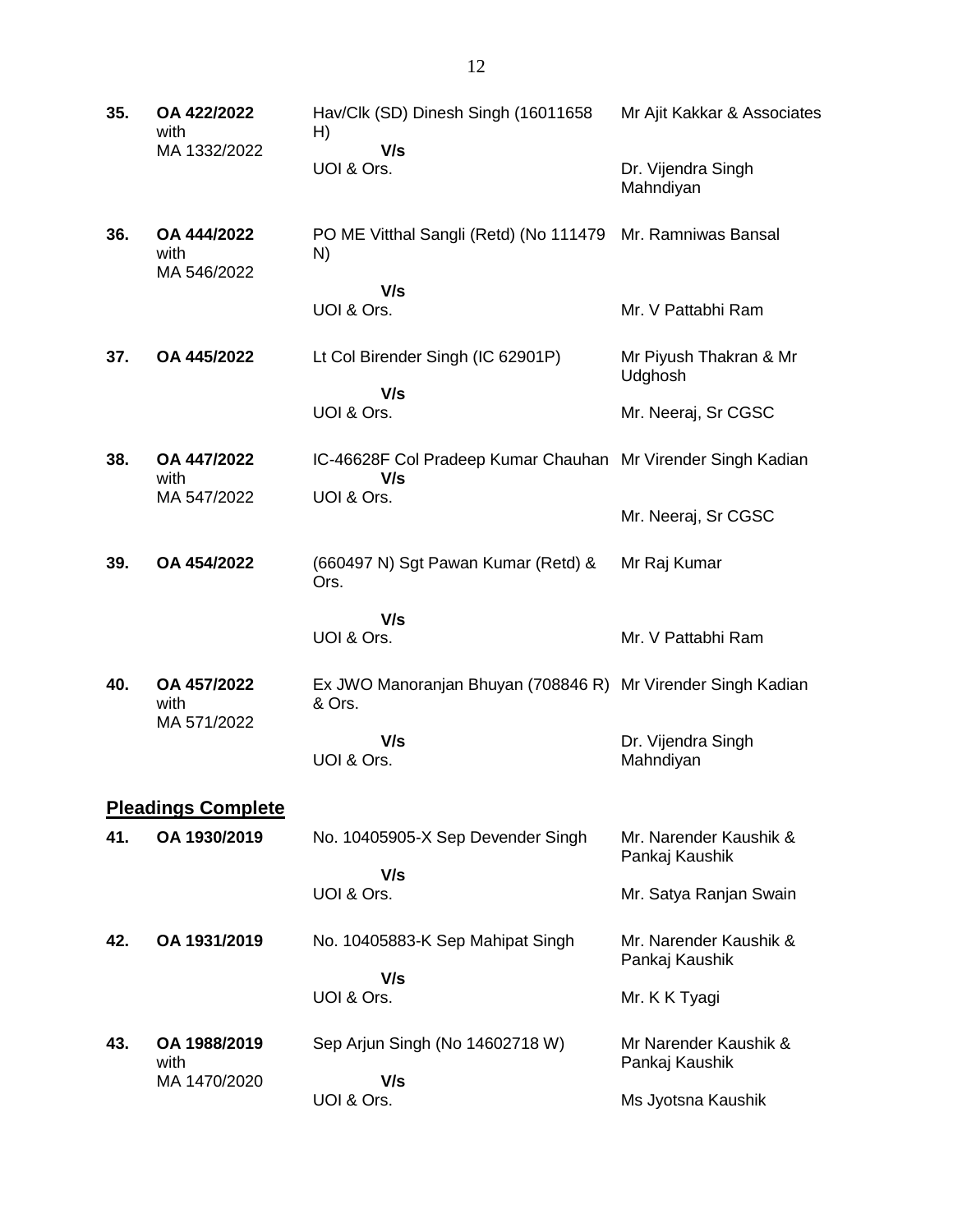| 35. | OA 422/2022<br>with                | Hav/Clk (SD) Dinesh Singh (16011658<br>H)                              | Mr Ajit Kakkar & Associates              |
|-----|------------------------------------|------------------------------------------------------------------------|------------------------------------------|
|     | MA 1332/2022                       | V/s<br>UOI & Ors.                                                      | Dr. Vijendra Singh<br>Mahndiyan          |
| 36. | OA 444/2022<br>with<br>MA 546/2022 | PO ME Vitthal Sangli (Retd) (No 111479 Mr. Ramniwas Bansal<br>N)       |                                          |
|     |                                    | V/s<br>UOI & Ors.                                                      | Mr. V Pattabhi Ram                       |
| 37. | OA 445/2022                        | Lt Col Birender Singh (IC 62901P)                                      | Mr Piyush Thakran & Mr<br>Udghosh        |
|     |                                    | V/s<br>UOI & Ors.                                                      | Mr. Neeraj, Sr CGSC                      |
| 38. | OA 447/2022<br>with                | IC-46628F Col Pradeep Kumar Chauhan Mr Virender Singh Kadian<br>V/s    |                                          |
|     | MA 547/2022                        | UOI & Ors.                                                             | Mr. Neeraj, Sr CGSC                      |
| 39. | OA 454/2022                        | (660497 N) Sgt Pawan Kumar (Retd) &<br>Ors.                            | Mr Raj Kumar                             |
|     |                                    | V/s<br>UOI & Ors.                                                      | Mr. V Pattabhi Ram                       |
| 40. | OA 457/2022<br>with                | Ex JWO Manoranjan Bhuyan (708846 R) Mr Virender Singh Kadian<br>& Ors. |                                          |
|     | MA 571/2022                        | V/s<br>UOI & Ors.                                                      | Dr. Vijendra Singh<br>Mahndiyan          |
|     | <b>Pleadings Complete</b>          |                                                                        |                                          |
| 41. | OA 1930/2019                       | No. 10405905-X Sep Devender Singh                                      | Mr. Narender Kaushik &<br>Pankaj Kaushik |
|     |                                    | V/s<br>UOI & Ors.                                                      | Mr. Satya Ranjan Swain                   |
| 42. | OA 1931/2019                       | No. 10405883-K Sep Mahipat Singh                                       | Mr. Narender Kaushik &<br>Pankaj Kaushik |
|     |                                    | V/s<br>UOI & Ors.                                                      | Mr. K K Tyagi                            |
| 43. | OA 1988/2019<br>with               | Sep Arjun Singh (No 14602718 W)                                        | Mr Narender Kaushik &<br>Pankaj Kaushik  |
|     | MA 1470/2020                       | V/s<br>UOI & Ors.                                                      | Ms Jyotsna Kaushik                       |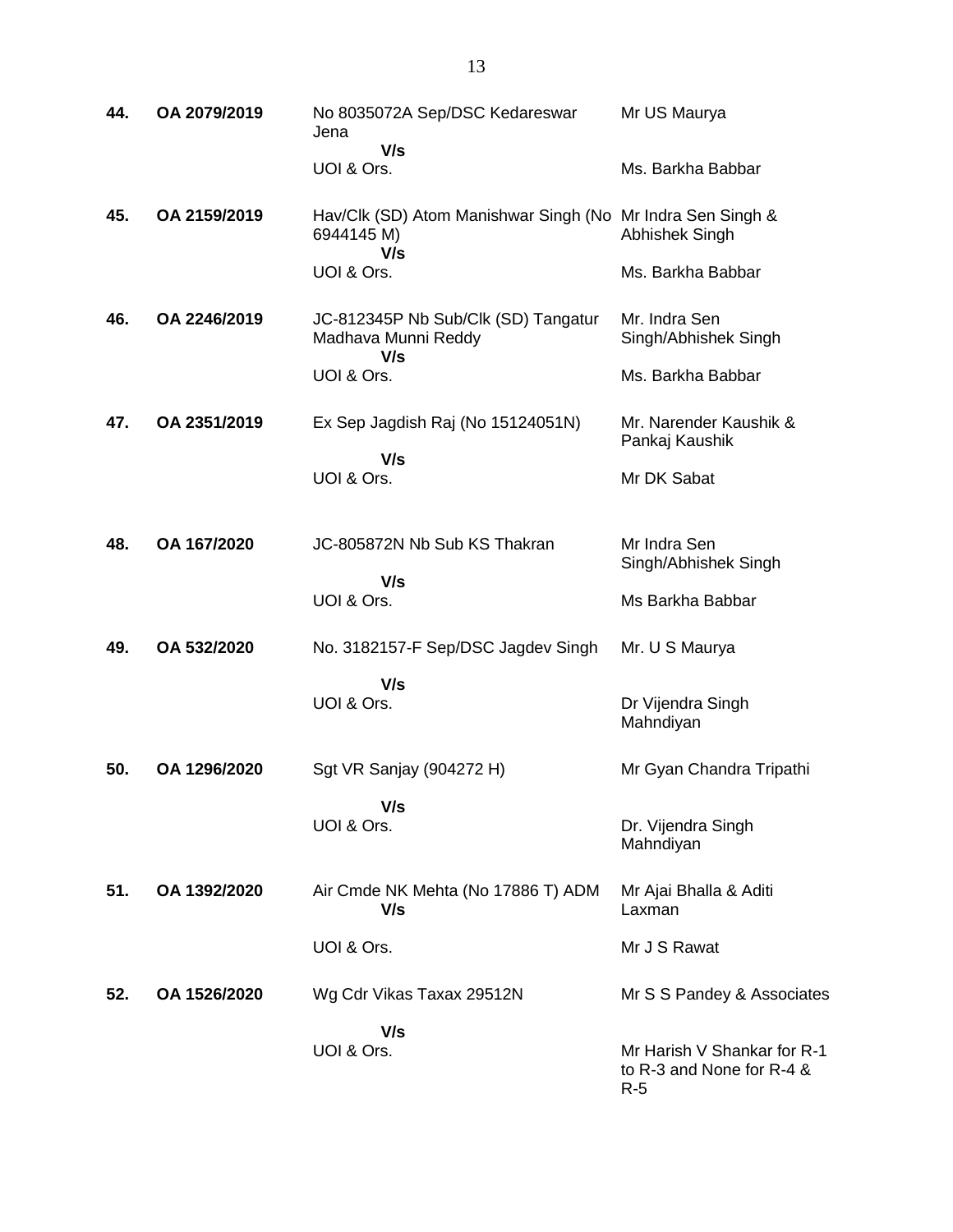| 44. | OA 2079/2019 | No 8035072A Sep/DSC Kedareswar<br>Jena<br>V/s                                   | Mr US Maurya                                                      |
|-----|--------------|---------------------------------------------------------------------------------|-------------------------------------------------------------------|
|     |              | UOI & Ors.                                                                      | Ms. Barkha Babbar                                                 |
| 45. | OA 2159/2019 | Hav/Clk (SD) Atom Manishwar Singh (No Mr Indra Sen Singh &<br>6944145 M)<br>V/s | Abhishek Singh                                                    |
|     |              | UOI & Ors.                                                                      | Ms. Barkha Babbar                                                 |
| 46. | OA 2246/2019 | JC-812345P Nb Sub/Clk (SD) Tangatur<br>Madhava Munni Reddy<br>V/s               | Mr. Indra Sen<br>Singh/Abhishek Singh                             |
|     |              | UOI & Ors.                                                                      | Ms. Barkha Babbar                                                 |
| 47. | OA 2351/2019 | Ex Sep Jagdish Raj (No 15124051N)<br>V/s                                        | Mr. Narender Kaushik &<br>Pankaj Kaushik                          |
|     |              | UOI & Ors.                                                                      | Mr DK Sabat                                                       |
|     |              |                                                                                 |                                                                   |
| 48. | OA 167/2020  | JC-805872N Nb Sub KS Thakran                                                    | Mr Indra Sen<br>Singh/Abhishek Singh                              |
|     |              | V/s<br>UOI & Ors.                                                               | Ms Barkha Babbar                                                  |
| 49. | OA 532/2020  | No. 3182157-F Sep/DSC Jagdev Singh                                              | Mr. U S Maurya                                                    |
|     |              | V/s<br>UOI & Ors.                                                               | Dr Vijendra Singh<br>Mahndiyan                                    |
| 50. | OA 1296/2020 | Sgt VR Sanjay (904272 H)                                                        | Mr Gyan Chandra Tripathi                                          |
|     |              | V/s<br>UOI & Ors.                                                               | Dr. Vijendra Singh<br>Mahndiyan                                   |
| 51. | OA 1392/2020 | Air Cmde NK Mehta (No 17886 T) ADM<br>V/s                                       | Mr Ajai Bhalla & Aditi<br>Laxman                                  |
|     |              | UOI & Ors.                                                                      | Mr J S Rawat                                                      |
| 52. | OA 1526/2020 | Wg Cdr Vikas Taxax 29512N                                                       | Mr S S Pandey & Associates                                        |
|     |              | V/s                                                                             |                                                                   |
|     |              | UOI & Ors.                                                                      | Mr Harish V Shankar for R-1<br>to R-3 and None for R-4 &<br>$R-5$ |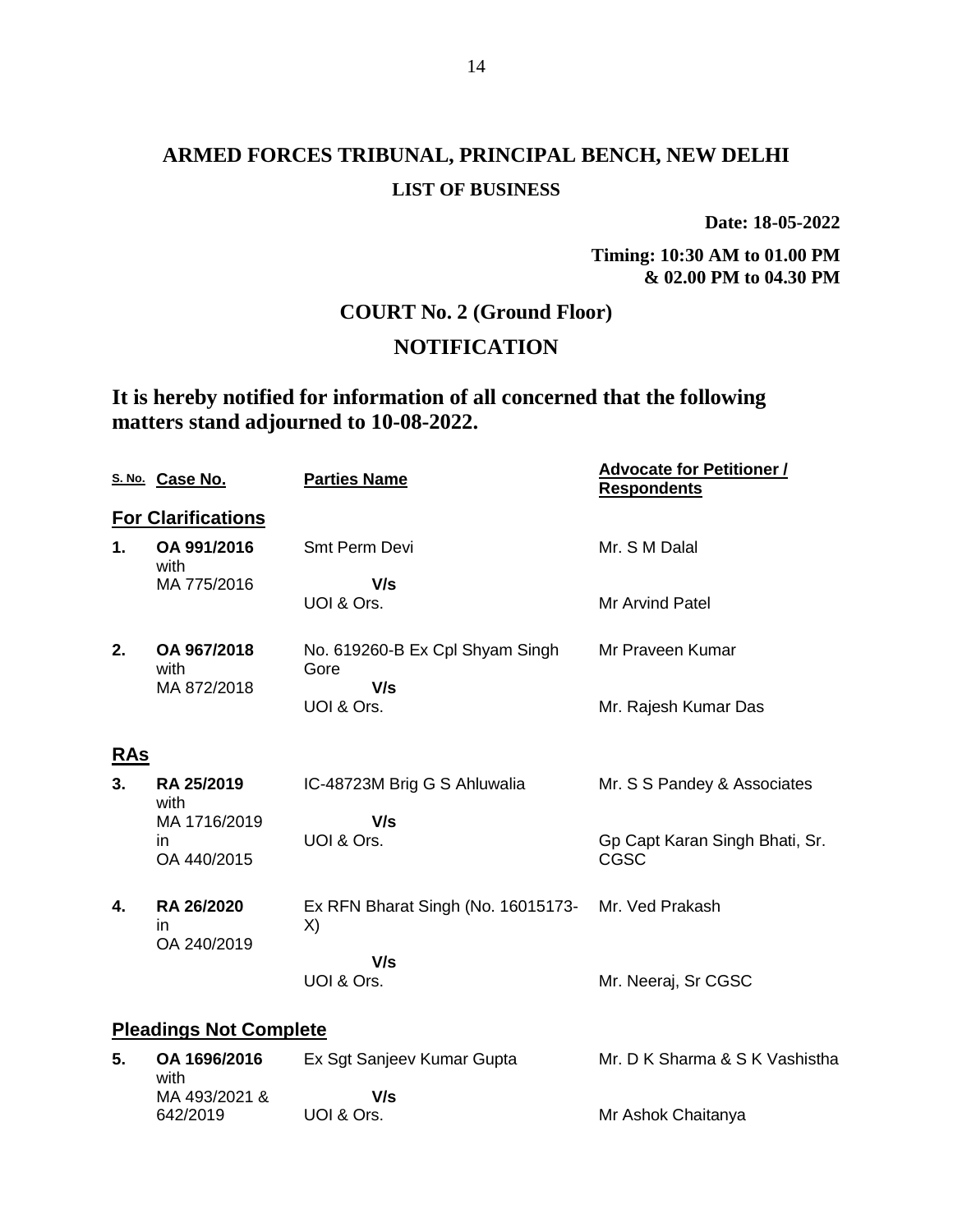# **ARMED FORCES TRIBUNAL, PRINCIPAL BENCH, NEW DELHI LIST OF BUSINESS**

**Date: 18-05-2022**

**Timing: 10:30 AM to 01.00 PM & 02.00 PM to 04.30 PM**

Mr Ashok Chaitanya

## **COURT No. 2 (Ground Floor)**

## **NOTIFICATION**

**It is hereby notified for information of all concerned that the following matters stand adjourned to 10-08-2022.**

|     | S. No. Case No.                    | <b>Parties Name</b>                            | <b>Advocate for Petitioner /</b><br><b>Respondents</b> |  |  |  |
|-----|------------------------------------|------------------------------------------------|--------------------------------------------------------|--|--|--|
|     | <b>For Clarifications</b>          |                                                |                                                        |  |  |  |
| 1.  | OA 991/2016<br>with                | Smt Perm Devi                                  | Mr. S M Dalal                                          |  |  |  |
|     | MA 775/2016                        | V/s<br>UOI & Ors.                              | Mr Arvind Patel                                        |  |  |  |
| 2.  | OA 967/2018<br>with<br>MA 872/2018 | No. 619260-B Ex Cpl Shyam Singh<br>Gore<br>V/s | Mr Praveen Kumar                                       |  |  |  |
|     |                                    | UOI & Ors.                                     | Mr. Rajesh Kumar Das                                   |  |  |  |
| RAs |                                    |                                                |                                                        |  |  |  |
| 3.  | RA 25/2019<br>with                 | IC-48723M Brig G S Ahluwalia                   | Mr. S S Pandey & Associates                            |  |  |  |
|     | MA 1716/2019<br>ın<br>OA 440/2015  | V/s<br>UOI & Ors.                              | Gp Capt Karan Singh Bhati, Sr.<br><b>CGSC</b>          |  |  |  |
| 4.  | RA 26/2020<br>ın<br>OA 240/2019    | Ex RFN Bharat Singh (No. 16015173-<br>X)       | Mr. Ved Prakash                                        |  |  |  |
|     |                                    | V/s<br>UOI & Ors.                              | Mr. Neeraj, Sr CGSC                                    |  |  |  |
|     | <b>Pleadings Not Complete</b>      |                                                |                                                        |  |  |  |
| 5.  | OA 1696/2016<br>with               | Ex Sgt Sanjeev Kumar Gupta                     | Mr. D K Sharma & S K Vashistha                         |  |  |  |

MA 493/2021 & 642/2019

 **V/s** UOI & Ors.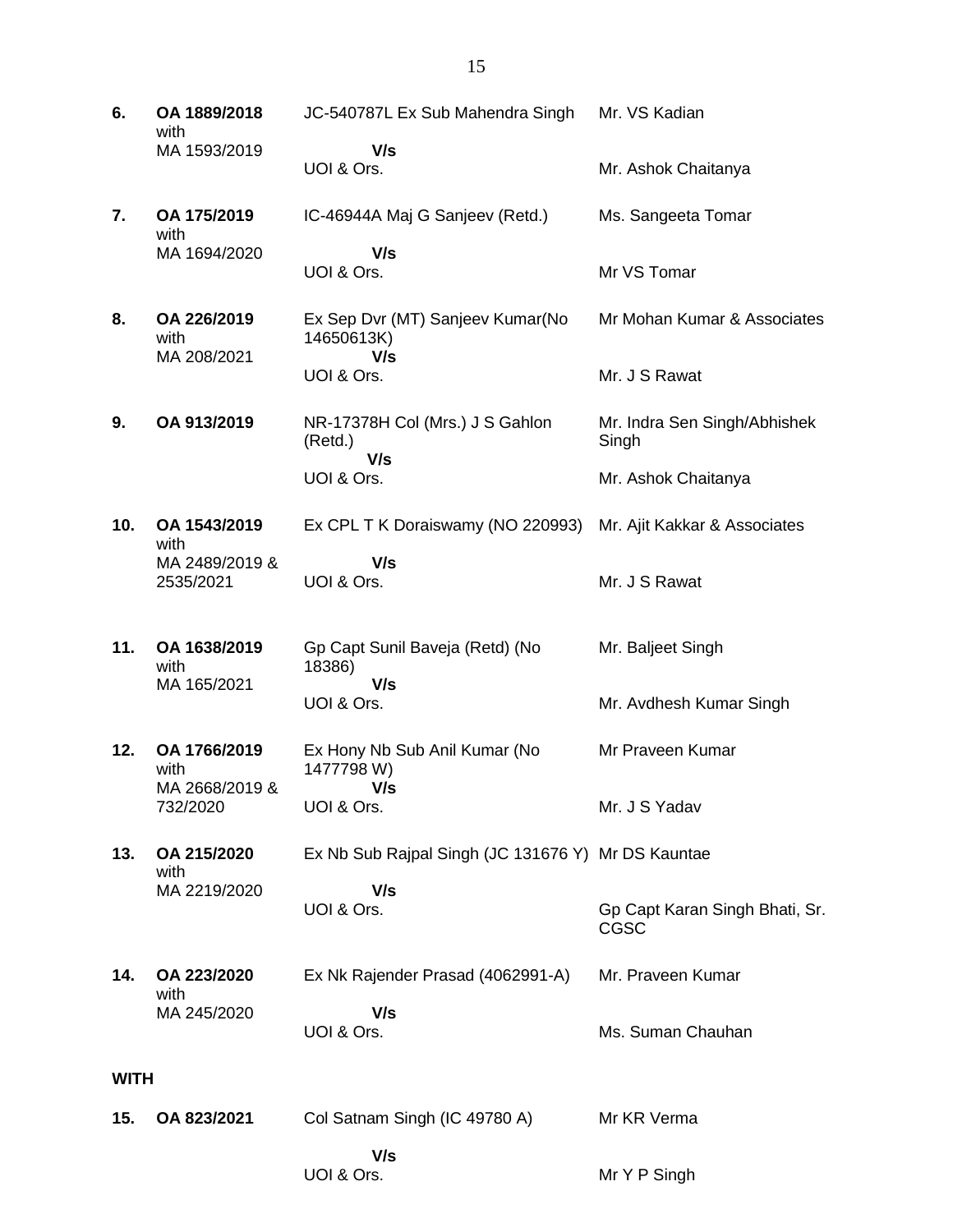**6. OA 1889/2018** with MA 1593/2019 JC-540787L Ex Sub Mahendra Singh  **V/s** UOI & Ors. Mr. VS Kadian Mr. Ashok Chaitanya **7. OA 175/2019** with MA 1694/2020 IC-46944A Maj G Sanjeev (Retd.)  **V/s** UOI & Ors. Ms. Sangeeta Tomar Mr VS Tomar **8. OA 226/2019** with MA 208/2021 Ex Sep Dvr (MT) Sanjeev Kumar(No 14650613K)  **V/s** UOI & Ors. Mr Mohan Kumar & Associates Mr. J S Rawat **9. OA 913/2019** NR-17378H Col (Mrs.) J S Gahlon (Retd.)  **V/s** UOI & Ors. Mr. Indra Sen Singh/Abhishek Singh Mr. Ashok Chaitanya **10. OA 1543/2019** with MA 2489/2019 & 2535/2021 Ex CPL T K Doraiswamy (NO 220993)  **V/s** UOI & Ors. Mr. Ajit Kakkar & Associates Mr. J S Rawat **11. OA 1638/2019** with MA 165/2021 Gp Capt Sunil Baveja (Retd) (No 18386)  **V/s** UOI & Ors. Mr. Baljeet Singh Mr. Avdhesh Kumar Singh **12. OA 1766/2019** with MA 2668/2019 & 732/2020 Ex Hony Nb Sub Anil Kumar (No 1477798 W)  **V/s** UOI & Ors. Mr Praveen Kumar Mr. J S Yadav **13. OA 215/2020** with MA 2219/2020 Ex Nb Sub Rajpal Singh (JC 131676 Y) Mr DS Kauntae  **V/s** UOI & Ors. Gp Capt Karan Singh Bhati, Sr. CGSC **14. OA 223/2020** with MA 245/2020 Ex Nk Rajender Prasad (4062991-A)  **V/s** UOI & Ors. Mr. Praveen Kumar Ms. Suman Chauhan **WITH 15. OA 823/2021** Col Satnam Singh (IC 49780 A) Mr KR Verma

Mr Y P Singh

 **V/s** UOI & Ors.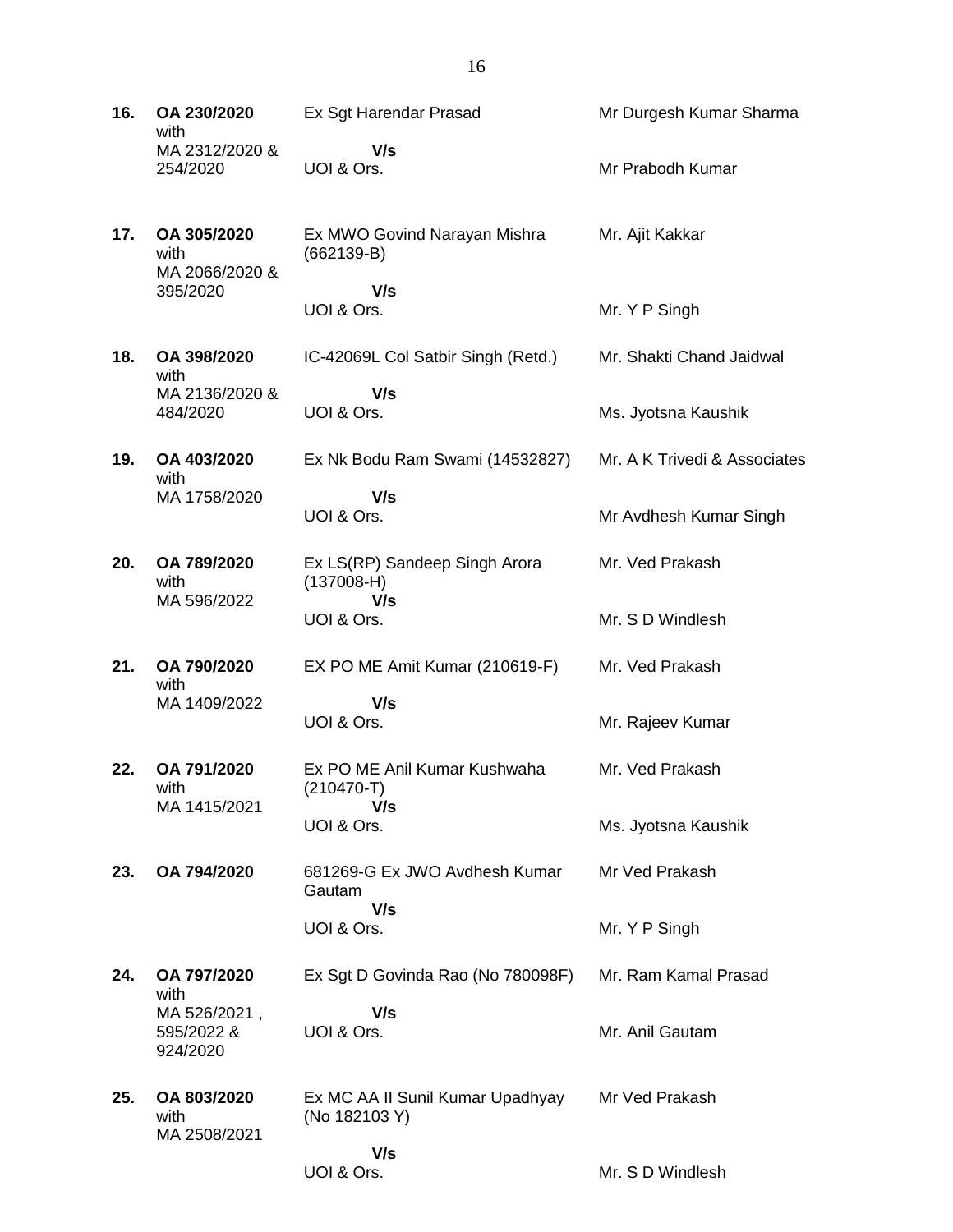| 16. | OA 230/2020<br>with                    | Ex Sgt Harendar Prasad                              | Mr Durgesh Kumar Sharma      |
|-----|----------------------------------------|-----------------------------------------------------|------------------------------|
|     | MA 2312/2020 &<br>254/2020             | V/s<br>UOI & Ors.                                   | Mr Prabodh Kumar             |
| 17. | OA 305/2020<br>with<br>MA 2066/2020 &  | Ex MWO Govind Narayan Mishra<br>$(662139-B)$        | Mr. Ajit Kakkar              |
|     | 395/2020                               | V/s<br>UOI & Ors.                                   | Mr. Y P Singh                |
| 18. | OA 398/2020<br>with                    | IC-42069L Col Satbir Singh (Retd.)                  | Mr. Shakti Chand Jaidwal     |
|     | MA 2136/2020 &<br>484/2020             | V/s<br>UOI & Ors.                                   | Ms. Jyotsna Kaushik          |
| 19. | OA 403/2020<br>with                    | Ex Nk Bodu Ram Swami (14532827)                     | Mr. A K Trivedi & Associates |
|     | MA 1758/2020                           | V/s<br>UOI & Ors.                                   | Mr Avdhesh Kumar Singh       |
| 20. | OA 789/2020<br>with                    | Ex LS(RP) Sandeep Singh Arora<br>$(137008-H)$       | Mr. Ved Prakash              |
|     | MA 596/2022                            | V/s<br>UOI & Ors.                                   | Mr. S D Windlesh             |
| 21. | OA 790/2020<br>with                    | EX PO ME Amit Kumar (210619-F)                      | Mr. Ved Prakash              |
|     | MA 1409/2022                           | V/s<br>UOI & Ors.                                   | Mr. Rajeev Kumar             |
| 22. | OA 791/2020<br>with<br>MA 1415/2021    | Ex PO ME Anil Kumar Kushwaha<br>$(210470-T)$<br>V/s | Mr. Ved Prakash              |
|     |                                        | UOI & Ors.                                          | Ms. Jyotsna Kaushik          |
| 23. | OA 794/2020                            | 681269-G Ex JWO Avdhesh Kumar<br>Gautam             | Mr Ved Prakash               |
|     |                                        | V/s<br>UOI & Ors.                                   | Mr. Y P Singh                |
| 24. | OA 797/2020<br>with                    | Ex Sgt D Govinda Rao (No 780098F)                   | Mr. Ram Kamal Prasad         |
|     | MA 526/2021,<br>595/2022 &<br>924/2020 | V/s<br>UOI & Ors.                                   | Mr. Anil Gautam              |
| 25. | OA 803/2020<br>with<br>MA 2508/2021    | Ex MC AA II Sunil Kumar Upadhyay<br>(No 182103 Y)   | Mr Ved Prakash               |
|     |                                        | V/s                                                 |                              |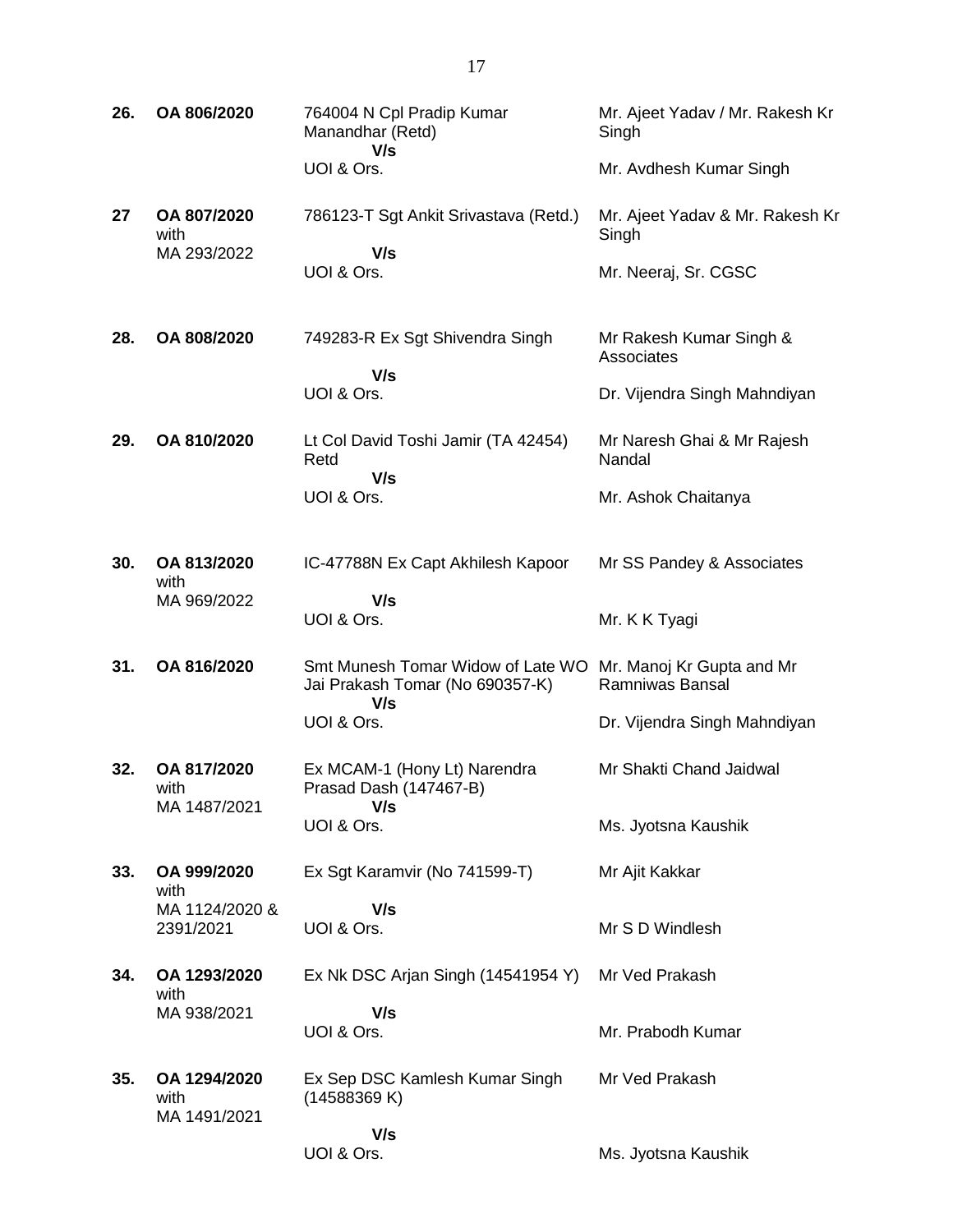| 26. | OA 806/2020                          | 764004 N Cpl Pradip Kumar<br>Manandhar (Retd)<br>V/s                        | Mr. Ajeet Yadav / Mr. Rakesh Kr<br>Singh     |
|-----|--------------------------------------|-----------------------------------------------------------------------------|----------------------------------------------|
|     |                                      | UOI & Ors.                                                                  | Mr. Avdhesh Kumar Singh                      |
| 27  | OA 807/2020<br>with                  | 786123-T Sgt Ankit Srivastava (Retd.)                                       | Mr. Ajeet Yadav & Mr. Rakesh Kr<br>Singh     |
|     | MA 293/2022                          | V/s<br>UOI & Ors.                                                           | Mr. Neeraj, Sr. CGSC                         |
| 28. | OA 808/2020                          | 749283-R Ex Sgt Shivendra Singh                                             | Mr Rakesh Kumar Singh &<br>Associates        |
|     |                                      | V/s<br>UOI & Ors.                                                           | Dr. Vijendra Singh Mahndiyan                 |
| 29. | OA 810/2020                          | Lt Col David Toshi Jamir (TA 42454)<br>Retd                                 | Mr Naresh Ghai & Mr Rajesh<br>Nandal         |
|     |                                      | V/s<br>UOI & Ors.                                                           | Mr. Ashok Chaitanya                          |
| 30. | OA 813/2020<br>with                  | IC-47788N Ex Capt Akhilesh Kapoor                                           | Mr SS Pandey & Associates                    |
|     | MA 969/2022                          | V/s<br>UOI & Ors.                                                           | Mr. K K Tyagi                                |
| 31. | OA 816/2020                          | Smt Munesh Tomar Widow of Late WO<br>Jai Prakash Tomar (No 690357-K)<br>V/s | Mr. Manoj Kr Gupta and Mr<br>Ramniwas Bansal |
|     |                                      | UOI & Ors.                                                                  | Dr. Vijendra Singh Mahndiyan                 |
| 32. | OA 817/2020<br>with<br>MA 1487/2021  | Ex MCAM-1 (Hony Lt) Narendra<br>Prasad Dash (147467-B)<br>V/s               | Mr Shakti Chand Jaidwal                      |
|     |                                      | UOI & Ors.                                                                  | Ms. Jyotsna Kaushik                          |
| 33. | OA 999/2020<br>with                  | Ex Sgt Karamvir (No 741599-T)                                               | Mr Ajit Kakkar                               |
|     | MA 1124/2020 &<br>2391/2021          | V/s<br>UOI & Ors.                                                           | Mr S D Windlesh                              |
| 34. | OA 1293/2020<br>with                 | Ex Nk DSC Arjan Singh (14541954 Y)                                          | Mr Ved Prakash                               |
|     | MA 938/2021                          | V/s<br>UOI & Ors.                                                           | Mr. Prabodh Kumar                            |
| 35. | OA 1294/2020<br>with<br>MA 1491/2021 | Ex Sep DSC Kamlesh Kumar Singh<br>(14588369 K)                              | Mr Ved Prakash                               |
|     |                                      | V/s<br>UOI & Ors.                                                           | Ms. Jyotsna Kaushik                          |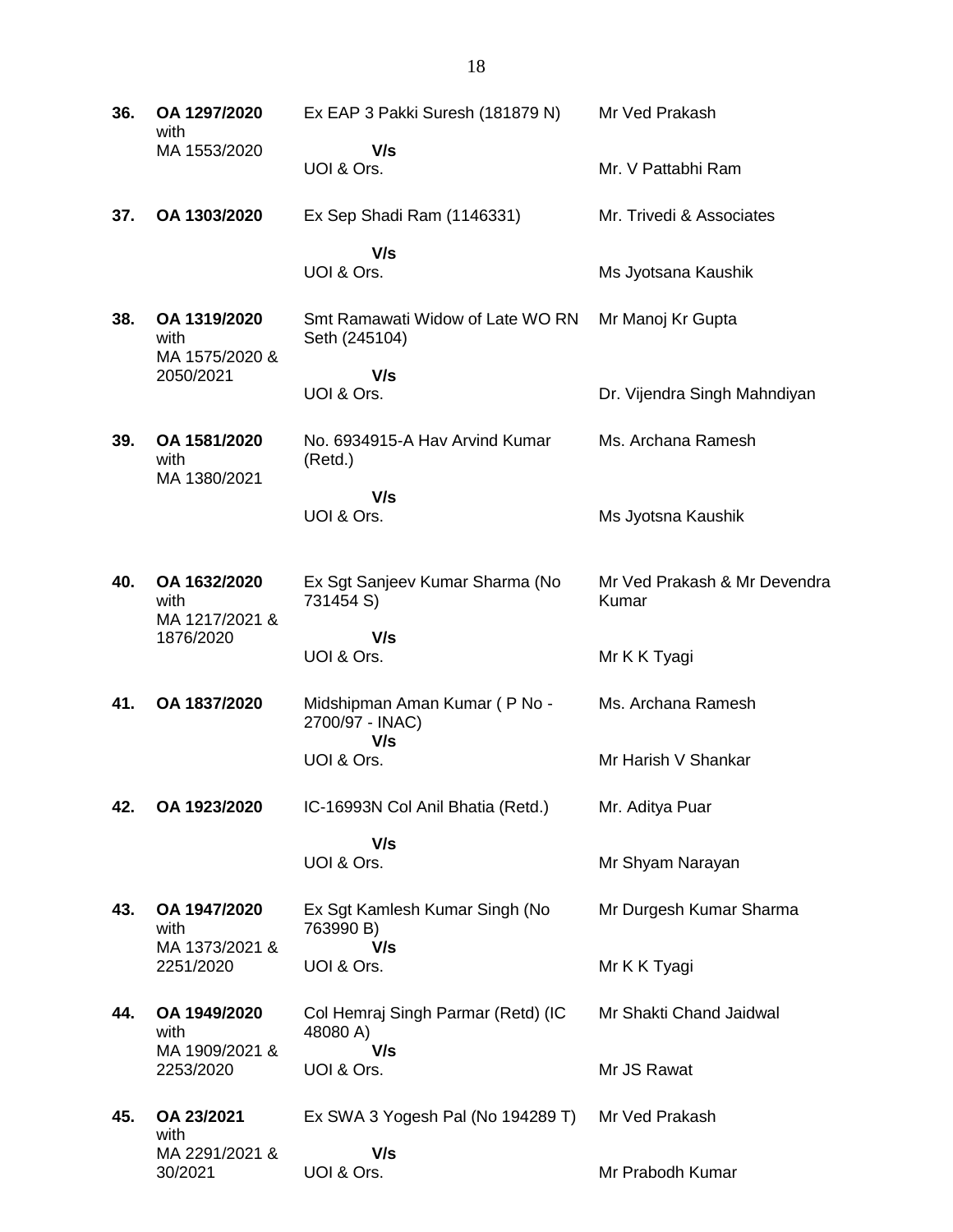**36. OA 1297/2020** with MA 1553/2020 Ex EAP 3 Pakki Suresh (181879 N)  **V/s** UOI & Ors. Mr Ved Prakash Mr. V Pattabhi Ram **37. OA 1303/2020** Ex Sep Shadi Ram (1146331)  **V/s** UOI & Ors. Mr. Trivedi & Associates Ms Jyotsana Kaushik **38. OA 1319/2020** with MA 1575/2020 & 2050/2021 Smt Ramawati Widow of Late WO RN Seth (245104)  **V/s** UOI & Ors. Mr Manoj Kr Gupta Dr. Vijendra Singh Mahndiyan **39. OA 1581/2020** with MA 1380/2021 No. 6934915-A Hav Arvind Kumar (Retd.)  **V/s** UOI & Ors. Ms. Archana Ramesh Ms Jyotsna Kaushik **40. OA 1632/2020** with MA 1217/2021 & 1876/2020 Ex Sgt Sanjeev Kumar Sharma (No 731454 S)  **V/s** UOI & Ors. Mr Ved Prakash & Mr Devendra Kumar Mr K K Tyagi **41. OA 1837/2020** Midshipman Aman Kumar ( P No - 2700/97 - INAC)  **V/s** UOI & Ors. Ms. Archana Ramesh Mr Harish V Shankar **42. OA 1923/2020** IC-16993N Col Anil Bhatia (Retd.)  **V/s** UOI & Ors. Mr. Aditya Puar Mr Shyam Narayan **43. OA 1947/2020** with MA 1373/2021 & 2251/2020 Ex Sgt Kamlesh Kumar Singh (No 763990 B)  **V/s** UOI & Ors. Mr Durgesh Kumar Sharma Mr K K Tyagi **44. OA 1949/2020** with MA 1909/2021 & 2253/2020 Col Hemraj Singh Parmar (Retd) (IC 48080 A)  **V/s** UOI & Ors. Mr Shakti Chand Jaidwal Mr JS Rawat **45. OA 23/2021** with MA 2291/2021 & 30/2021 Ex SWA 3 Yogesh Pal (No 194289 T)  **V/s** UOI & Ors. Mr Ved Prakash Mr Prabodh Kumar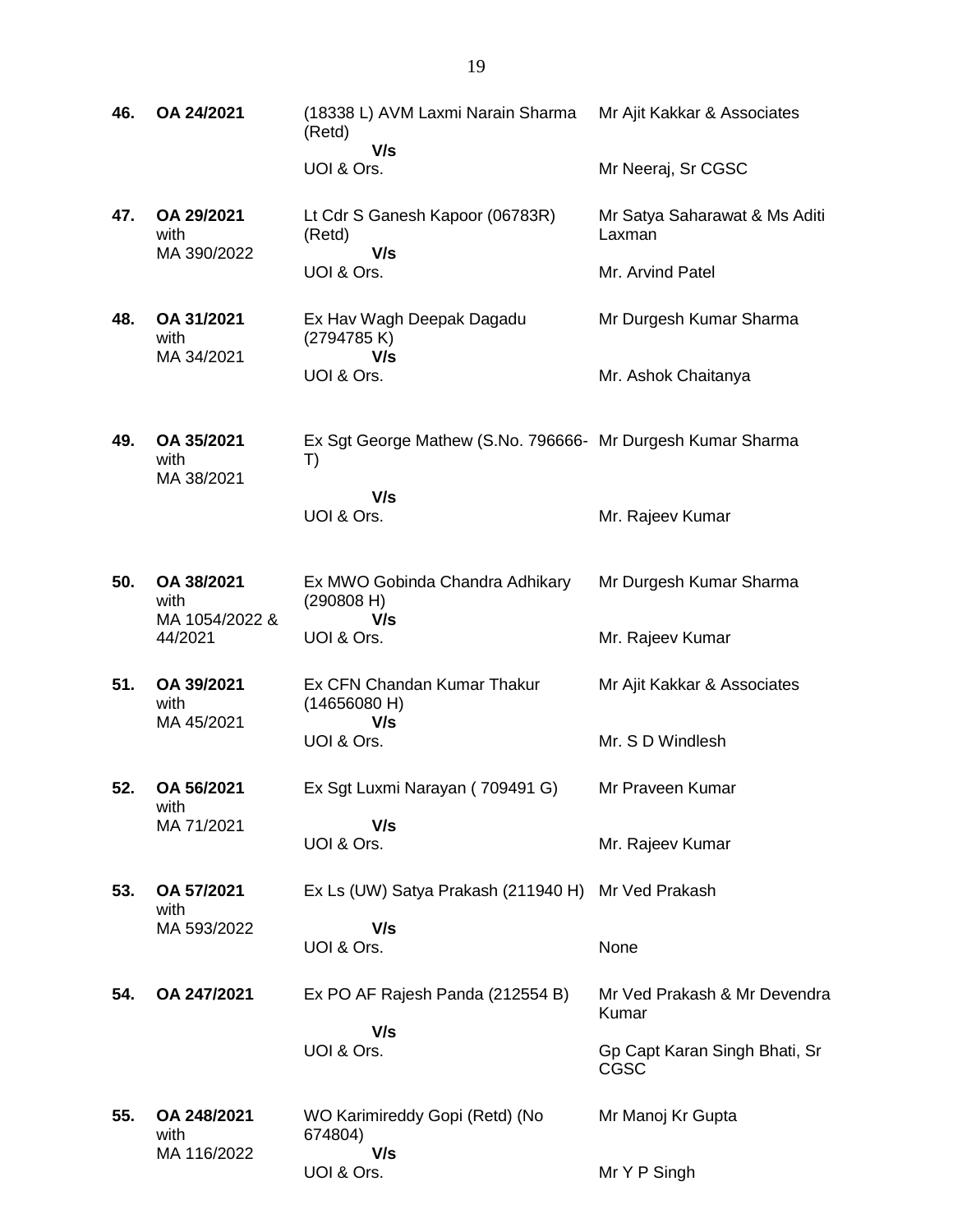| 46. | OA 24/2021                        | (18338 L) AVM Laxmi Narain Sharma<br>(Retd)                       | Mr Ajit Kakkar & Associates             |
|-----|-----------------------------------|-------------------------------------------------------------------|-----------------------------------------|
|     |                                   | V/s<br>UOI & Ors.                                                 | Mr Neeraj, Sr CGSC                      |
| 47. | OA 29/2021<br>with<br>MA 390/2022 | Lt Cdr S Ganesh Kapoor (06783R)<br>(Retd)<br>V/s                  | Mr Satya Saharawat & Ms Aditi<br>Laxman |
|     |                                   | UOI & Ors.                                                        | Mr. Arvind Patel                        |
| 48. | OA 31/2021<br>with<br>MA 34/2021  | Ex Hav Wagh Deepak Dagadu<br>(2794785K)<br>V/s                    | Mr Durgesh Kumar Sharma                 |
|     |                                   | UOI & Ors.                                                        | Mr. Ashok Chaitanya                     |
| 49. | OA 35/2021<br>with<br>MA 38/2021  | Ex Sgt George Mathew (S.No. 796666- Mr Durgesh Kumar Sharma<br>T) |                                         |
|     |                                   | V/s<br>UOI & Ors.                                                 | Mr. Rajeev Kumar                        |
| 50. | OA 38/2021<br>with                | Ex MWO Gobinda Chandra Adhikary<br>(290808 H)                     | Mr Durgesh Kumar Sharma                 |
|     | MA 1054/2022 &<br>44/2021         | V/s<br>UOI & Ors.                                                 | Mr. Rajeev Kumar                        |
| 51. | OA 39/2021<br>with<br>MA 45/2021  | Ex CFN Chandan Kumar Thakur<br>(14656080 H)<br>V/s                | Mr Ajit Kakkar & Associates             |
|     |                                   | UOI & Ors.                                                        | Mr. S D Windlesh                        |
| 52. | OA 56/2021<br>with                | Ex Sgt Luxmi Narayan (709491 G)                                   | Mr Praveen Kumar                        |
|     | MA 71/2021                        | V/s<br>UOI & Ors.                                                 | Mr. Rajeev Kumar                        |
| 53. | OA 57/2021<br>with                | Ex Ls (UW) Satya Prakash (211940 H) Mr Ved Prakash                |                                         |
|     | MA 593/2022                       | V/s<br>UOI & Ors.                                                 | None                                    |
| 54. | OA 247/2021                       | Ex PO AF Rajesh Panda (212554 B)                                  | Mr Ved Prakash & Mr Devendra<br>Kumar   |
|     |                                   | V/s<br>UOI & Ors.                                                 | Gp Capt Karan Singh Bhati, Sr<br>CGSC   |
| 55. | OA 248/2021<br>with               | WO Karimireddy Gopi (Retd) (No<br>674804)                         | Mr Manoj Kr Gupta                       |
|     | MA 116/2022                       | V/s<br>UOI & Ors.                                                 | Mr Y P Singh                            |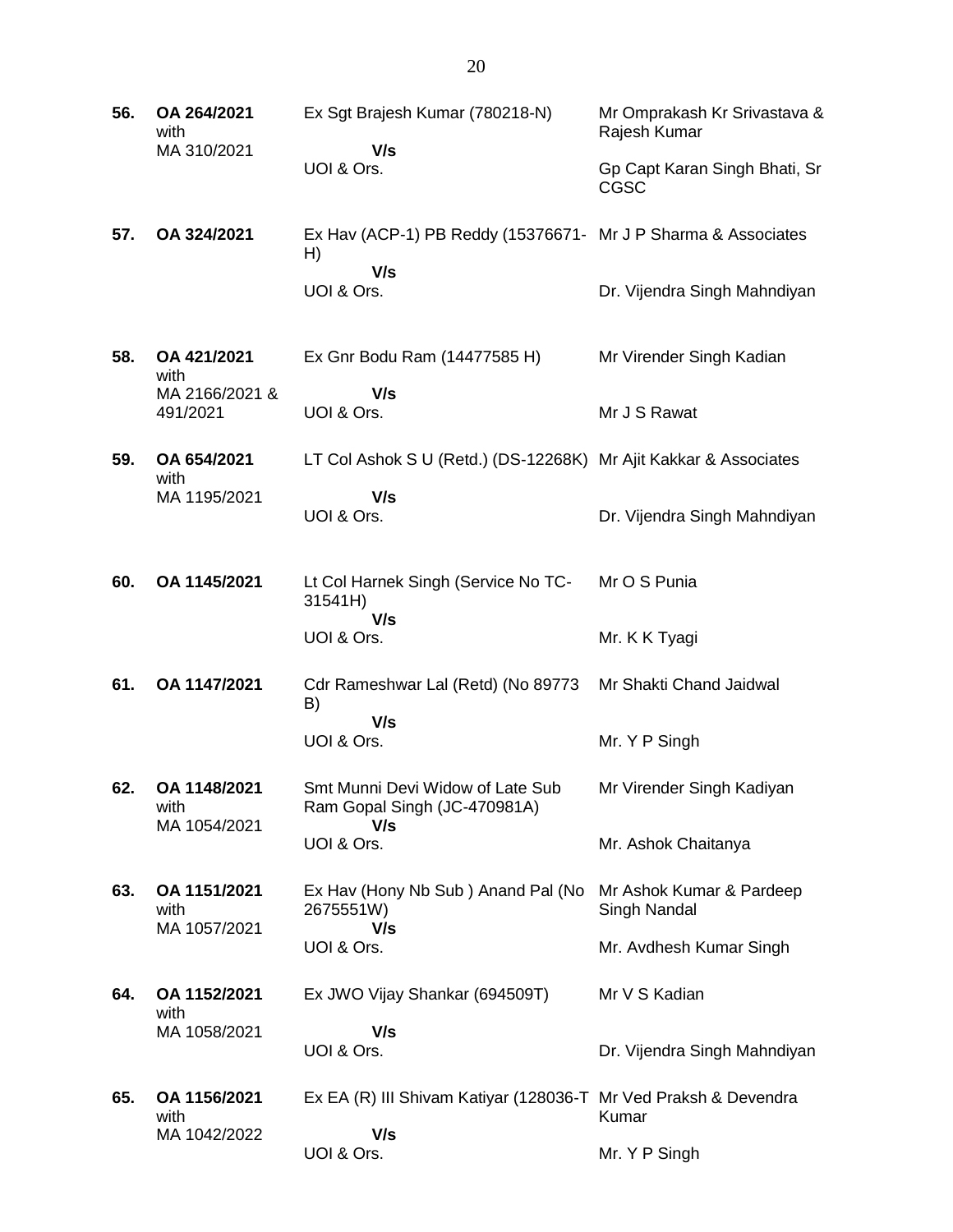| 56. | OA 264/2021<br>with                  | Ex Sgt Brajesh Kumar (780218-N)                                         | Mr Omprakash Kr Srivastava &<br>Rajesh Kumar |
|-----|--------------------------------------|-------------------------------------------------------------------------|----------------------------------------------|
|     | MA 310/2021                          | V/s<br>UOI & Ors.                                                       | Gp Capt Karan Singh Bhati, Sr<br>CGSC        |
| 57. | OA 324/2021                          | Ex Hav (ACP-1) PB Reddy (15376671- Mr J P Sharma & Associates<br>H)     |                                              |
|     |                                      | V/s<br>UOI & Ors.                                                       | Dr. Vijendra Singh Mahndiyan                 |
| 58. | OA 421/2021<br>with                  | Ex Gnr Bodu Ram (14477585 H)                                            | Mr Virender Singh Kadian                     |
|     | MA 2166/2021 &<br>491/2021           | V/s<br>UOI & Ors.                                                       | Mr J S Rawat                                 |
| 59. | OA 654/2021                          | LT Col Ashok S U (Retd.) (DS-12268K) Mr Ajit Kakkar & Associates        |                                              |
|     | with<br>MA 1195/2021                 | V/s                                                                     |                                              |
|     |                                      | UOI & Ors.                                                              | Dr. Vijendra Singh Mahndiyan                 |
| 60. | OA 1145/2021                         | Lt Col Harnek Singh (Service No TC-<br>31541H)<br>V/s                   | Mr O S Punia                                 |
|     |                                      | UOI & Ors.                                                              | Mr. K K Tyagi                                |
| 61. | OA 1147/2021                         | Cdr Rameshwar Lal (Retd) (No 89773<br>B)<br>V/s                         | Mr Shakti Chand Jaidwal                      |
|     |                                      | UOI & Ors.                                                              | Mr. Y P Singh                                |
| 62. | OA 1148/2021<br>with                 | Smt Munni Devi Widow of Late Sub<br>Ram Gopal Singh (JC-470981A)<br>V/s | Mr Virender Singh Kadiyan                    |
|     | MA 1054/2021                         | UOI & Ors.                                                              | Mr. Ashok Chaitanya                          |
| 63. | OA 1151/2021<br>with<br>MA 1057/2021 | Ex Hav (Hony Nb Sub) Anand Pal (No<br>2675551W)                         | Mr Ashok Kumar & Pardeep<br>Singh Nandal     |
|     |                                      | V/s<br>UOI & Ors.                                                       | Mr. Avdhesh Kumar Singh                      |
| 64. | OA 1152/2021<br>with                 | Ex JWO Vijay Shankar (694509T)                                          | Mr V S Kadian                                |
|     | MA 1058/2021                         | V/s<br>UOI & Ors.                                                       | Dr. Vijendra Singh Mahndiyan                 |
| 65. | OA 1156/2021<br>with                 | Ex EA (R) III Shivam Katiyar (128036-T Mr Ved Praksh & Devendra         | Kumar                                        |
|     | MA 1042/2022                         | V/s<br>UOI & Ors.                                                       | Mr. Y P Singh                                |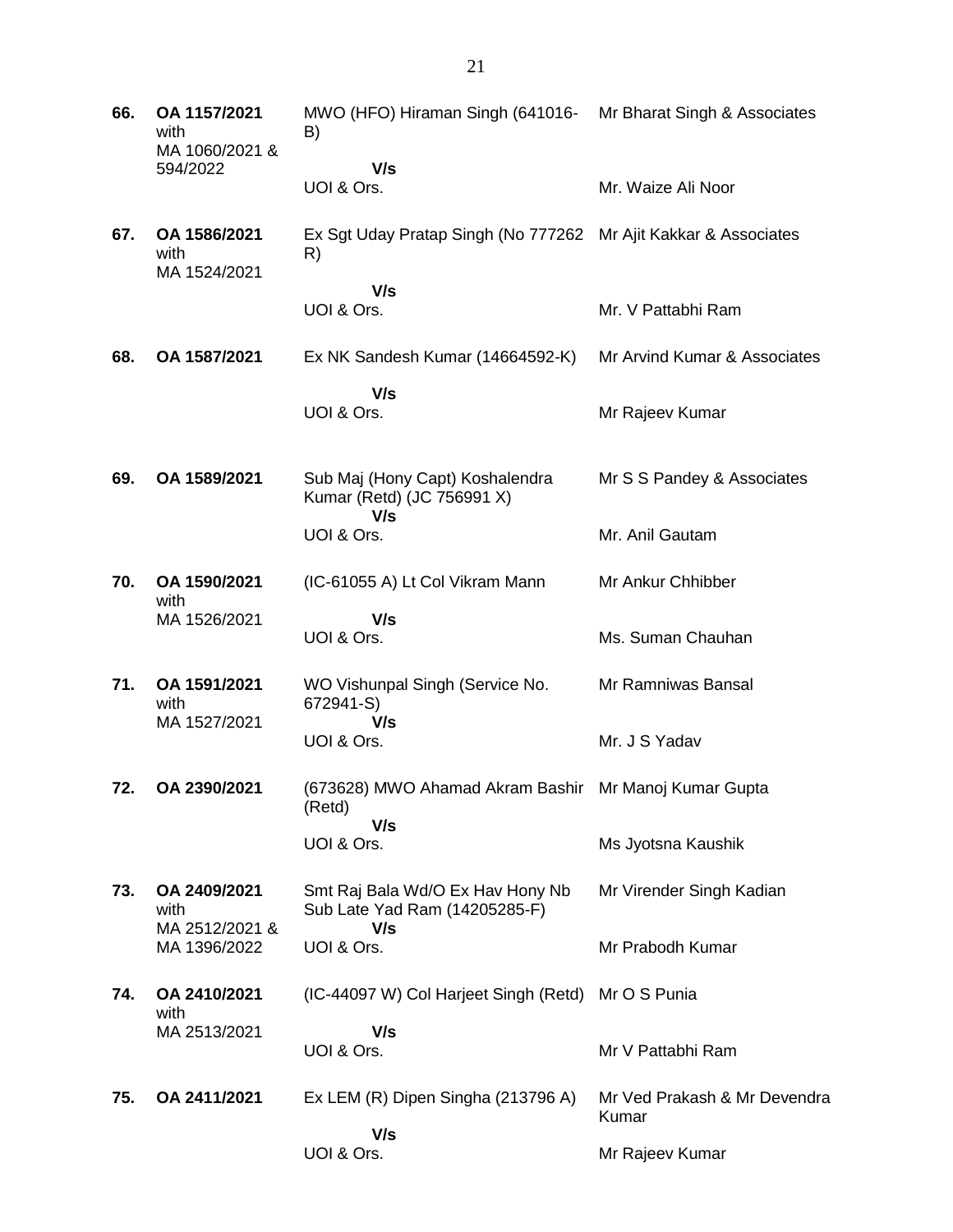**66. OA 1157/2021** with MA 1060/2021 & 594/2022 MWO (HFO) Hiraman Singh (641016- B)  **V/s** UOI & Ors. Mr Bharat Singh & Associates Mr. Waize Ali Noor **67. OA 1586/2021** with MA 1524/2021 Ex Sgt Uday Pratap Singh (No 777262 Mr Ajit Kakkar & Associates R)  **V/s** UOI & Ors. Mr. V Pattabhi Ram **68. OA 1587/2021** Ex NK Sandesh Kumar (14664592-K)  **V/s** UOI & Ors. Mr Arvind Kumar & Associates Mr Rajeev Kumar **69. OA 1589/2021** Sub Maj (Hony Capt) Koshalendra Kumar (Retd) (JC 756991 X)  **V/s** UOI & Ors. Mr S S Pandey & Associates Mr. Anil Gautam **70. OA 1590/2021** with MA 1526/2021 (IC-61055 A) Lt Col Vikram Mann  **V/s** UOI & Ors. Mr Ankur Chhibber Ms. Suman Chauhan **71. OA 1591/2021** with MA 1527/2021 WO Vishunpal Singh (Service No. 672941-S)  **V/s** UOI & Ors. Mr Ramniwas Bansal Mr. J S Yadav **72. OA 2390/2021** (673628) MWO Ahamad Akram Bashir Mr Manoj Kumar Gupta (Retd)  **V/s** UOI & Ors. Ms Jyotsna Kaushik **73. OA 2409/2021** with MA 2512/2021 & MA 1396/2022 Smt Raj Bala Wd/O Ex Hav Hony Nb Sub Late Yad Ram (14205285-F)  **V/s** UOI & Ors. Mr Virender Singh Kadian Mr Prabodh Kumar **74. OA 2410/2021** with MA 2513/2021 (IC-44097 W) Col Harjeet Singh (Retd) Mr O S Punia  **V/s** UOI & Ors. Mr V Pattabhi Ram **75. OA 2411/2021** Ex LEM (R) Dipen Singha (213796 A)  **V/s** UOI & Ors. Mr Ved Prakash & Mr Devendra Kumar Mr Rajeev Kumar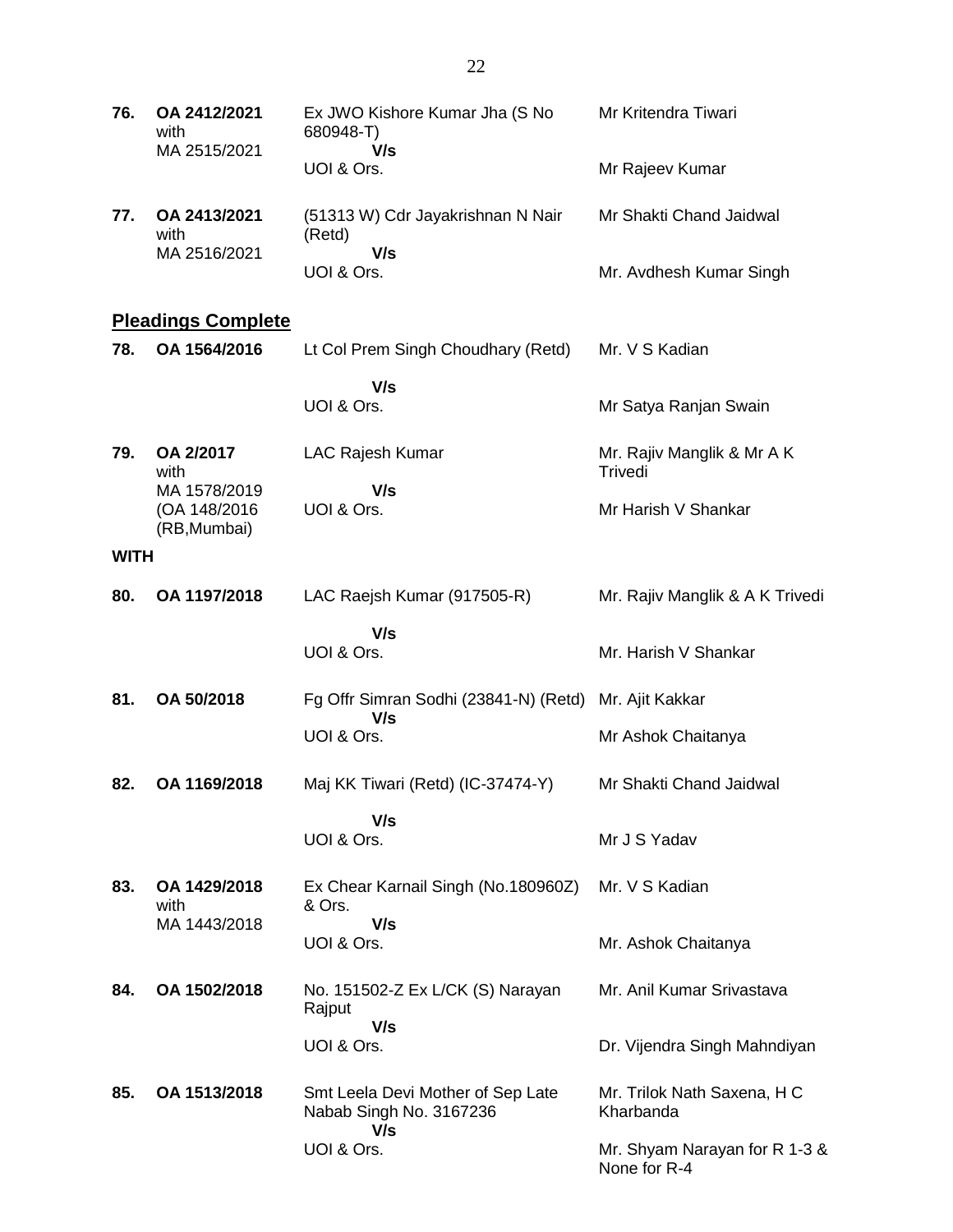| 76.         | OA 2412/2021<br>with<br>MA 2515/2021         | Ex JWO Kishore Kumar Jha (S No<br>680948-T)<br>V/s           | Mr Kritendra Tiwari                   |
|-------------|----------------------------------------------|--------------------------------------------------------------|---------------------------------------|
|             |                                              | UOI & Ors.                                                   | Mr Rajeev Kumar                       |
| 77.         | OA 2413/2021<br>with                         | (51313 W) Cdr Jayakrishnan N Nair<br>(Retd)                  | Mr Shakti Chand Jaidwal               |
|             | MA 2516/2021                                 | V/s<br>UOI & Ors.                                            | Mr. Avdhesh Kumar Singh               |
|             | <b>Pleadings Complete</b>                    |                                                              |                                       |
| 78.         | OA 1564/2016                                 | Lt Col Prem Singh Choudhary (Retd)                           | Mr. V S Kadian                        |
|             |                                              | V/s<br>UOI & Ors.                                            | Mr Satya Ranjan Swain                 |
| 79.         | OA 2/2017<br>with                            | LAC Rajesh Kumar                                             | Mr. Rajiv Manglik & Mr A K<br>Trivedi |
|             | MA 1578/2019<br>(OA 148/2016<br>(RB, Mumbai) | V/s<br>UOI & Ors.                                            | Mr Harish V Shankar                   |
| <b>WITH</b> |                                              |                                                              |                                       |
| 80.         | OA 1197/2018                                 | LAC Raejsh Kumar (917505-R)                                  | Mr. Rajiv Manglik & A K Trivedi       |
|             |                                              | V/s<br>UOI & Ors.                                            | Mr. Harish V Shankar                  |
| 81.         | OA 50/2018                                   | Fg Offr Simran Sodhi (23841-N) (Retd) Mr. Ajit Kakkar<br>V/s |                                       |
|             |                                              | UOI & Ors.                                                   | Mr Ashok Chaitanya                    |
| 82.         | OA 1169/2018                                 | Maj KK Tiwari (Retd) (IC-37474-Y)                            | Mr Shakti Chand Jaidwal               |
|             |                                              | V/s<br>UOI & Ors.                                            | Mr J S Yadav                          |
| 83.         | OA 1429/2018<br>with                         | Ex Chear Karnail Singh (No.180960Z)<br>& Ors.                | Mr. V S Kadian                        |
|             | MA 1443/2018                                 | V/s<br>UOI & Ors.                                            | Mr. Ashok Chaitanya                   |
| 84.         | OA 1502/2018                                 | No. 151502-Z Ex L/CK (S) Narayan<br>Rajput                   | Mr. Anil Kumar Srivastava             |
|             |                                              | V/s<br>UOI & Ors.                                            | Dr. Vijendra Singh Mahndiyan          |
|             |                                              |                                                              |                                       |

**85. OA 1513/2018** Smt Leela Devi Mother of Sep Late Nabab Singh No. 3167236  **V/s** UOI & Ors. Mr. Trilok Nath Saxena, H C Kharbanda Mr. Shyam Narayan for R 1-3 & None for R-4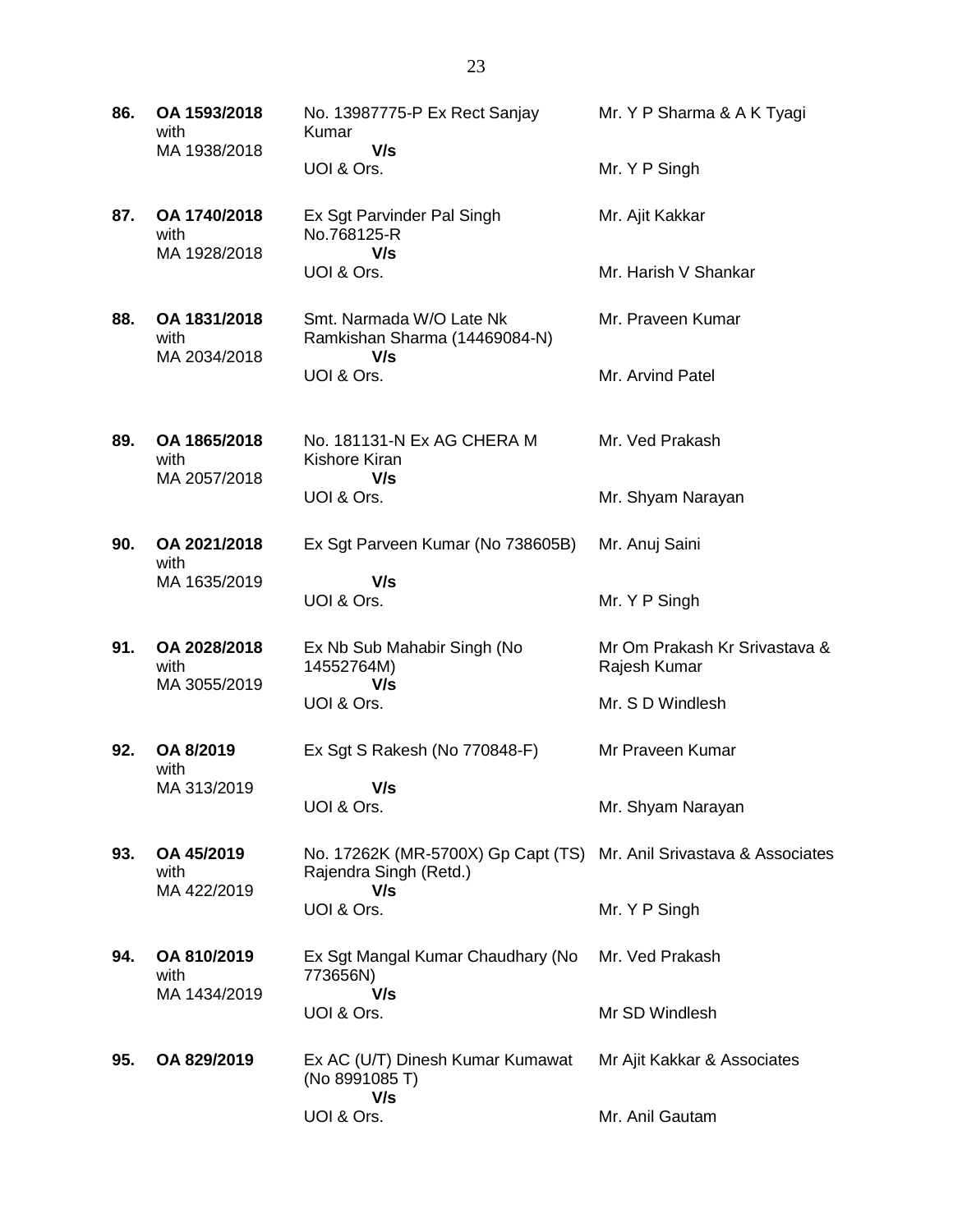| 86. | OA 1593/2018<br>with                 | No. 13987775-P Ex Rect Sanjay<br>Kumar                                                               | Mr. Y P Sharma & A K Tyagi                    |
|-----|--------------------------------------|------------------------------------------------------------------------------------------------------|-----------------------------------------------|
|     | MA 1938/2018                         | V/s<br>UOI & Ors.                                                                                    | Mr. Y P Singh                                 |
| 87. | OA 1740/2018<br>with<br>MA 1928/2018 | Ex Sgt Parvinder Pal Singh<br>No.768125-R<br>V/s                                                     | Mr. Ajit Kakkar                               |
|     |                                      | UOI & Ors.                                                                                           | Mr. Harish V Shankar                          |
| 88. | OA 1831/2018<br>with<br>MA 2034/2018 | Smt. Narmada W/O Late Nk<br>Ramkishan Sharma (14469084-N)<br>V/s                                     | Mr. Praveen Kumar                             |
|     |                                      | UOI & Ors.                                                                                           | Mr. Arvind Patel                              |
| 89. | OA 1865/2018<br>with<br>MA 2057/2018 | No. 181131-N Ex AG CHERA M<br>Kishore Kiran<br>V/s                                                   | Mr. Ved Prakash                               |
|     |                                      | UOI & Ors.                                                                                           | Mr. Shyam Narayan                             |
| 90. | OA 2021/2018<br>with                 | Ex Sgt Parveen Kumar (No 738605B)                                                                    | Mr. Anuj Saini                                |
|     | MA 1635/2019                         | V/s<br>UOI & Ors.                                                                                    | Mr. Y P Singh                                 |
| 91. | OA 2028/2018<br>with<br>MA 3055/2019 | Ex Nb Sub Mahabir Singh (No<br>14552764M)<br>V/s                                                     | Mr Om Prakash Kr Srivastava &<br>Rajesh Kumar |
|     |                                      | UOI & Ors.                                                                                           | Mr. S D Windlesh                              |
| 92. | OA 8/2019<br>with                    | Ex Sgt S Rakesh (No 770848-F)                                                                        | Mr Praveen Kumar                              |
|     | MA 313/2019                          | V/s<br>UOI & Ors.                                                                                    | Mr. Shyam Narayan                             |
| 93. | OA 45/2019<br>with<br>MA 422/2019    | No. 17262K (MR-5700X) Gp Capt (TS) Mr. Anil Srivastava & Associates<br>Rajendra Singh (Retd.)<br>V/s |                                               |
|     |                                      | UOI & Ors.                                                                                           | Mr. Y P Singh                                 |
| 94. | OA 810/2019<br>with<br>MA 1434/2019  | Ex Sgt Mangal Kumar Chaudhary (No<br>773656N)<br>V/s                                                 | Mr. Ved Prakash                               |
|     |                                      | UOI & Ors.                                                                                           | Mr SD Windlesh                                |
| 95. | OA 829/2019                          | Ex AC (U/T) Dinesh Kumar Kumawat<br>(No 8991085 T)<br>V/s                                            | Mr Ajit Kakkar & Associates                   |
|     |                                      | UOI & Ors.                                                                                           | Mr. Anil Gautam                               |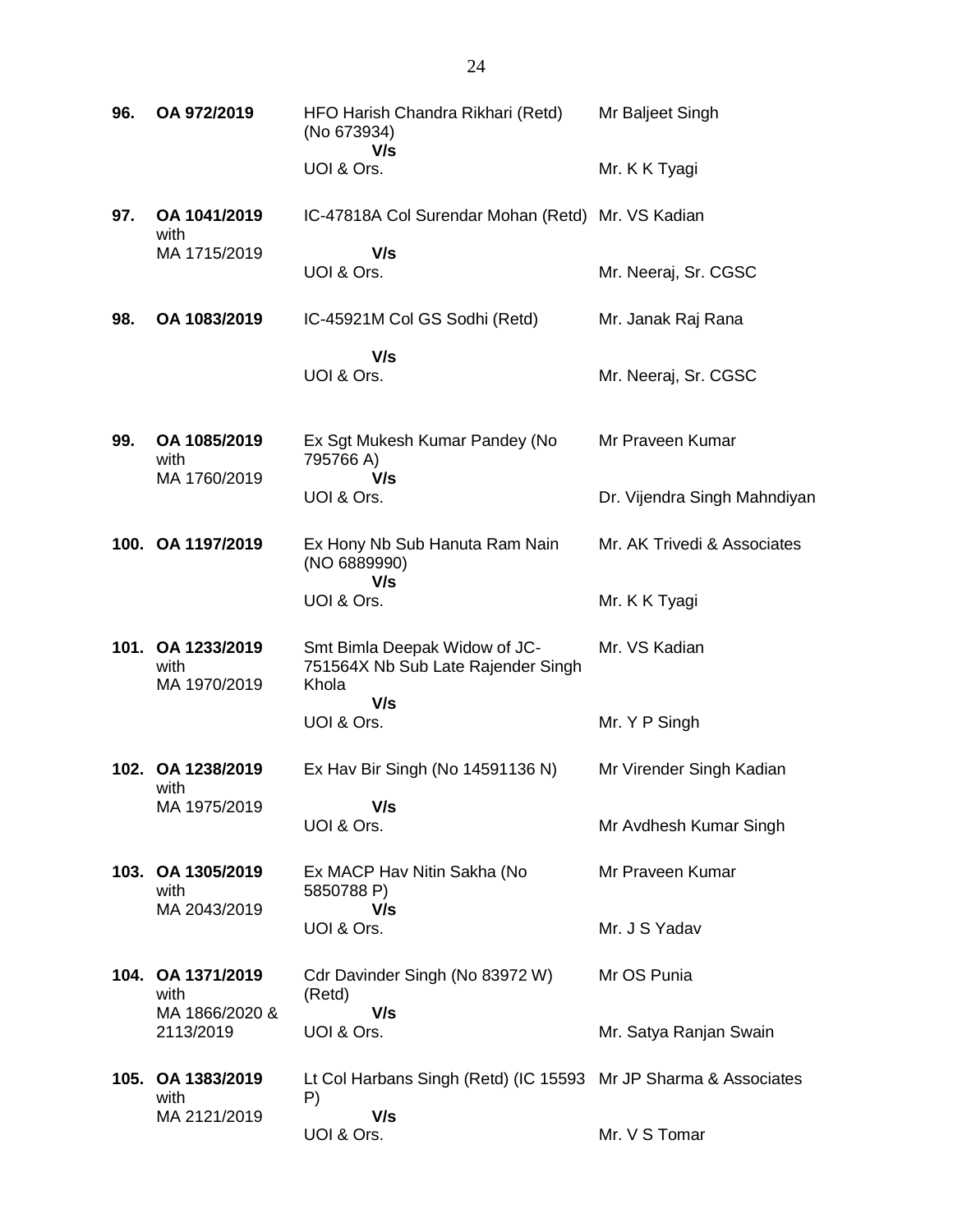| 96.  | OA 972/2019                               | HFO Harish Chandra Rikhari (Retd)<br>(No 673934)                             | Mr Baljeet Singh             |
|------|-------------------------------------------|------------------------------------------------------------------------------|------------------------------|
|      |                                           | V/s<br>UOI & Ors.                                                            | Mr. K K Tyagi                |
| 97.  | OA 1041/2019<br>with                      | IC-47818A Col Surendar Mohan (Retd) Mr. VS Kadian                            |                              |
|      | MA 1715/2019                              | V/s<br>UOI & Ors.                                                            | Mr. Neeraj, Sr. CGSC         |
| 98.  | OA 1083/2019                              | IC-45921M Col GS Sodhi (Retd)                                                | Mr. Janak Raj Rana           |
|      |                                           | V/s<br>UOI & Ors.                                                            | Mr. Neeraj, Sr. CGSC         |
| 99.  | OA 1085/2019<br>with<br>MA 1760/2019      | Ex Sgt Mukesh Kumar Pandey (No<br>795766 A)<br>V/s                           | Mr Praveen Kumar             |
|      |                                           | UOI & Ors.                                                                   | Dr. Vijendra Singh Mahndiyan |
|      | 100. OA 1197/2019                         | Ex Hony Nb Sub Hanuta Ram Nain<br>(NO 6889990)<br>V/s                        | Mr. AK Trivedi & Associates  |
|      |                                           | UOI & Ors.                                                                   | Mr. K K Tyagi                |
|      | 101. OA 1233/2019<br>with<br>MA 1970/2019 | Smt Bimla Deepak Widow of JC-<br>751564X Nb Sub Late Rajender Singh<br>Khola | Mr. VS Kadian                |
|      |                                           | V/s<br>UOI & Ors.                                                            | Mr. Y P Singh                |
|      | 102. OA 1238/2019<br>with                 | Ex Hav Bir Singh (No 14591136 N)                                             | Mr Virender Singh Kadian     |
|      | MA 1975/2019                              | V/s<br>UOI & Ors.                                                            | Mr Avdhesh Kumar Singh       |
|      | 103. OA 1305/2019<br>with                 | Ex MACP Hav Nitin Sakha (No<br>5850788 P)                                    | Mr Praveen Kumar             |
|      | MA 2043/2019                              | V/s<br>UOI & Ors.                                                            | Mr. J S Yadav                |
|      | 104. OA 1371/2019<br>with                 | Cdr Davinder Singh (No 83972 W)<br>(Retd)                                    | Mr OS Punia                  |
|      | MA 1866/2020 &<br>2113/2019               | V/s<br>UOI & Ors.                                                            | Mr. Satya Ranjan Swain       |
| 105. | OA 1383/2019<br>with                      | Lt Col Harbans Singh (Retd) (IC 15593 Mr JP Sharma & Associates<br>P)        |                              |
|      | MA 2121/2019                              | V/s<br>UOI & Ors.                                                            | Mr. V S Tomar                |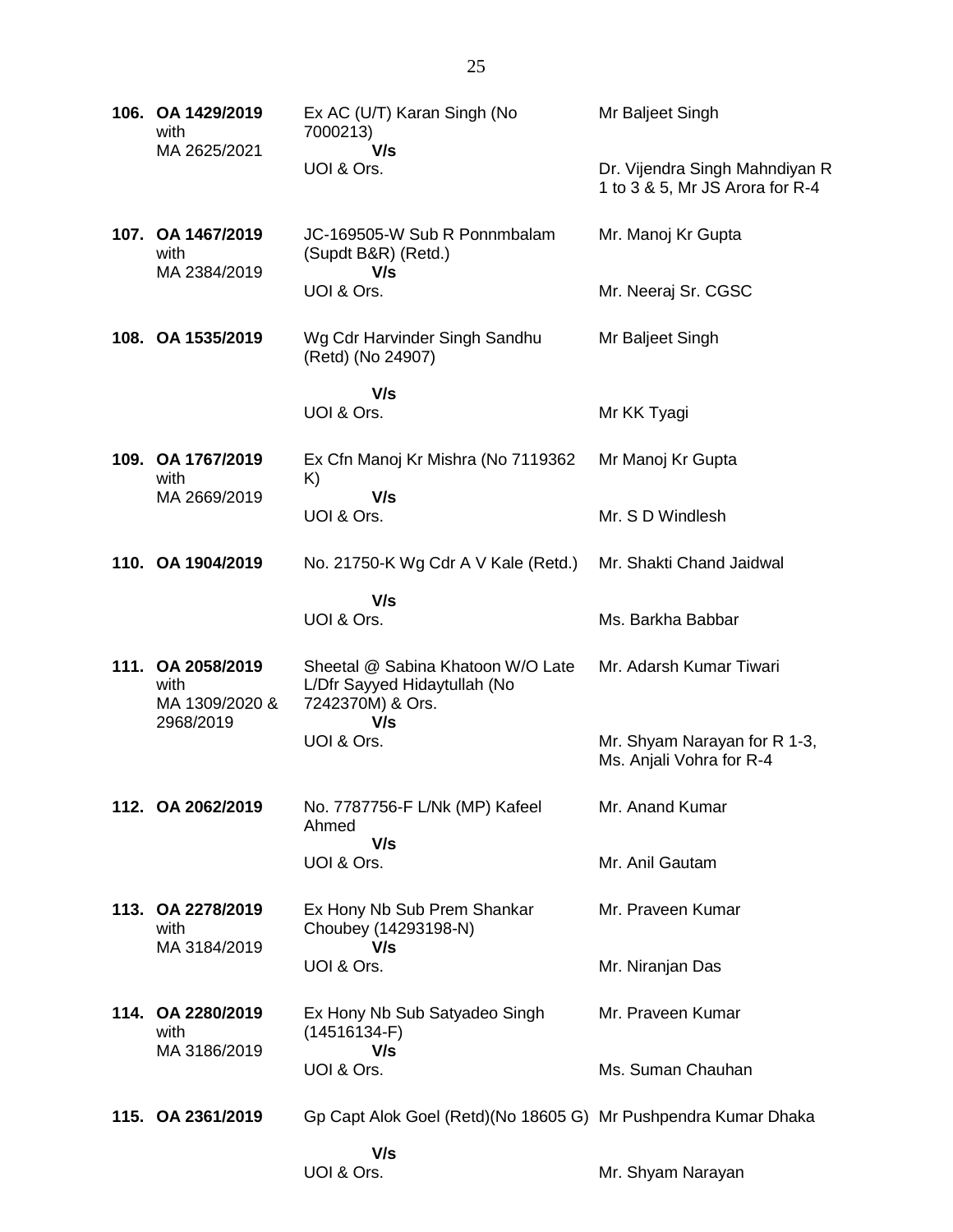| 106. OA 1429/2019<br>with                                | Ex AC (U/T) Karan Singh (No<br>7000213)                                                      | Mr Baljeet Singh                                                  |
|----------------------------------------------------------|----------------------------------------------------------------------------------------------|-------------------------------------------------------------------|
| MA 2625/2021                                             | V/s<br>UOI & Ors.                                                                            | Dr. Vijendra Singh Mahndiyan R<br>1 to 3 & 5, Mr JS Arora for R-4 |
| 107. OA 1467/2019<br>with<br>MA 2384/2019                | JC-169505-W Sub R Ponnmbalam<br>(Supdt B&R) (Retd.)<br>V/s                                   | Mr. Manoj Kr Gupta                                                |
|                                                          | UOI & Ors.                                                                                   | Mr. Neeraj Sr. CGSC                                               |
| 108. OA 1535/2019                                        | Wg Cdr Harvinder Singh Sandhu<br>(Retd) (No 24907)                                           | Mr Baljeet Singh                                                  |
|                                                          | V/s<br>UOI & Ors.                                                                            | Mr KK Tyagi                                                       |
| 109. OA 1767/2019<br>with<br>MA 2669/2019                | Ex Cfn Manoj Kr Mishra (No 7119362<br>K)<br>V/s                                              | Mr Manoj Kr Gupta                                                 |
|                                                          | UOI & Ors.                                                                                   | Mr. S D Windlesh                                                  |
| 110. OA 1904/2019                                        | No. 21750-K Wg Cdr A V Kale (Retd.)                                                          | Mr. Shakti Chand Jaidwal                                          |
|                                                          | V/s<br>UOI & Ors.                                                                            | Ms. Barkha Babbar                                                 |
| 111. OA 2058/2019<br>with<br>MA 1309/2020 &<br>2968/2019 | Sheetal @ Sabina Khatoon W/O Late<br>L/Dfr Sayyed Hidaytullah (No<br>7242370M) & Ors.<br>V/s | Mr. Adarsh Kumar Tiwari                                           |
|                                                          | UOI & Ors.                                                                                   | Mr. Shyam Narayan for R 1-3,<br>Ms. Anjali Vohra for R-4          |
| 112. OA 2062/2019                                        | No. 7787756-F L/Nk (MP) Kafeel<br>Ahmed                                                      | Mr. Anand Kumar                                                   |
|                                                          | V/s<br>UOI & Ors.                                                                            | Mr. Anil Gautam                                                   |
| 113. OA 2278/2019<br>with<br>MA 3184/2019                | Ex Hony Nb Sub Prem Shankar<br>Choubey (14293198-N)<br>V/s                                   | Mr. Praveen Kumar                                                 |
|                                                          | UOI & Ors.                                                                                   | Mr. Niranjan Das                                                  |
| 114. OA 2280/2019<br>with                                | Ex Hony Nb Sub Satyadeo Singh<br>$(14516134-F)$                                              | Mr. Praveen Kumar                                                 |
| MA 3186/2019                                             | V/s<br>UOI & Ors.                                                                            | Ms. Suman Chauhan                                                 |
| 115. OA 2361/2019                                        | Gp Capt Alok Goel (Retd)(No 18605 G) Mr Pushpendra Kumar Dhaka                               |                                                                   |
|                                                          | V/s                                                                                          |                                                                   |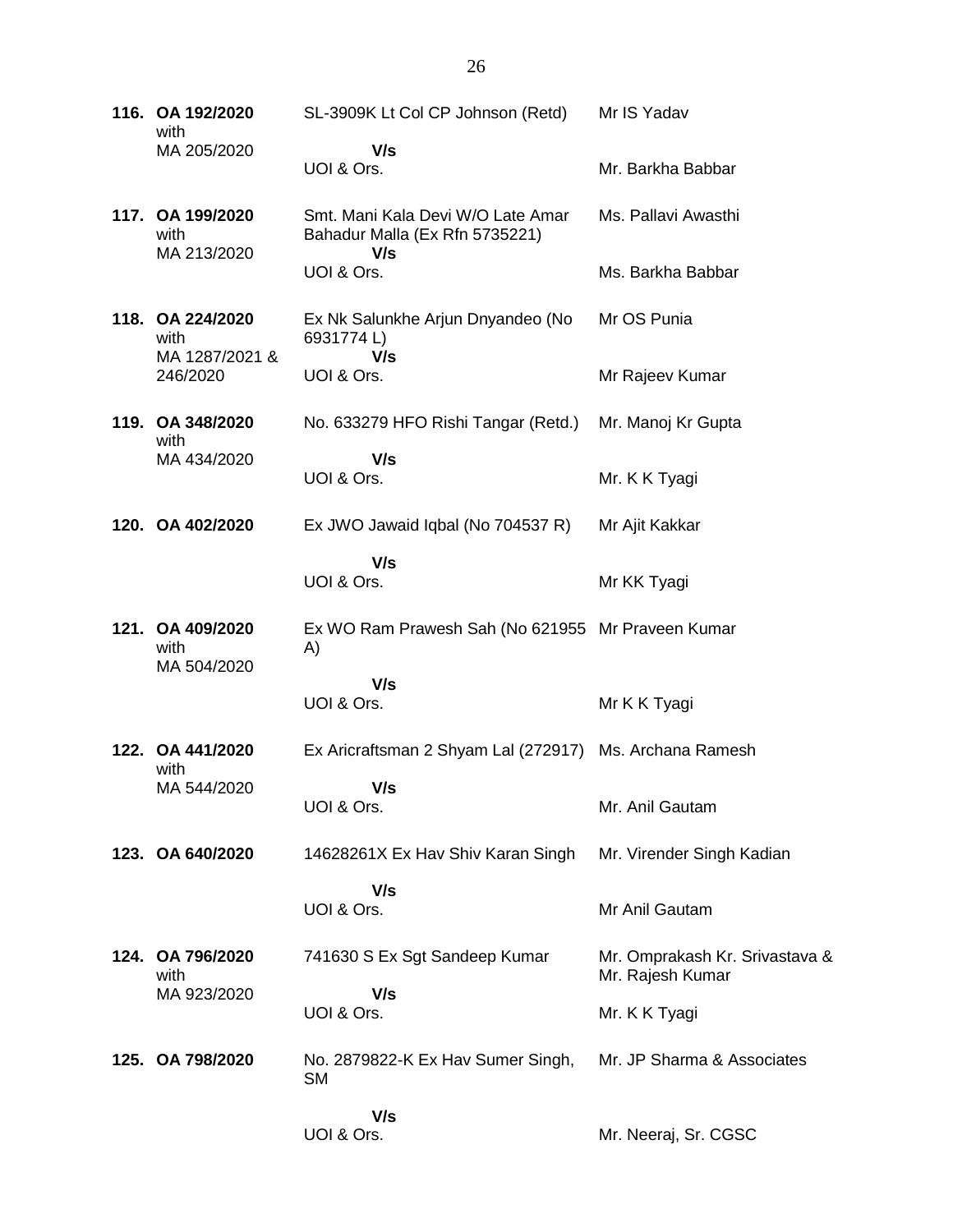| 116. OA 192/2020<br>with                   | SL-3909K Lt Col CP Johnson (Retd)                                          | Mr IS Yadav                                        |
|--------------------------------------------|----------------------------------------------------------------------------|----------------------------------------------------|
| MA 205/2020                                | V/s<br>UOI & Ors.                                                          | Mr. Barkha Babbar                                  |
| 117. OA 199/2020<br>with<br>MA 213/2020    | Smt. Mani Kala Devi W/O Late Amar<br>Bahadur Malla (Ex Rfn 5735221)<br>V/s | Ms. Pallavi Awasthi                                |
|                                            | UOI & Ors.                                                                 | Ms. Barkha Babbar                                  |
| 118. OA 224/2020<br>with<br>MA 1287/2021 & | Ex Nk Salunkhe Arjun Dnyandeo (No<br>6931774L)<br>V/s                      | Mr OS Punia                                        |
| 246/2020                                   | UOI & Ors.                                                                 | Mr Rajeev Kumar                                    |
| 119. OA 348/2020<br>with                   | No. 633279 HFO Rishi Tangar (Retd.)                                        | Mr. Manoj Kr Gupta                                 |
| MA 434/2020                                | V/s<br>UOI & Ors.                                                          | Mr. K K Tyagi                                      |
| 120. OA 402/2020                           | Ex JWO Jawaid Iqbal (No 704537 R)                                          | Mr Ajit Kakkar                                     |
|                                            | V/s<br>UOI & Ors.                                                          | Mr KK Tyagi                                        |
| 121. OA 409/2020<br>with<br>MA 504/2020    | Ex WO Ram Prawesh Sah (No 621955 Mr Praveen Kumar<br>A)                    |                                                    |
|                                            | V/s<br>UOI & Ors.                                                          | Mr K K Tyagi                                       |
| 122. OA 441/2020<br>with                   | Ex Aricraftsman 2 Shyam Lal (272917) Ms. Archana Ramesh                    |                                                    |
| MA 544/2020                                | V/s<br>UOI & Ors.                                                          | Mr. Anil Gautam                                    |
| 123. OA 640/2020                           | 14628261X Ex Hav Shiv Karan Singh                                          | Mr. Virender Singh Kadian                          |
|                                            | V/s<br>UOI & Ors.                                                          | Mr Anil Gautam                                     |
| 124. OA 796/2020<br>with                   | 741630 S Ex Sgt Sandeep Kumar                                              | Mr. Omprakash Kr. Srivastava &<br>Mr. Rajesh Kumar |
| MA 923/2020                                | V/s<br>UOI & Ors.                                                          | Mr. K K Tyagi                                      |
| 125. OA 798/2020                           | No. 2879822-K Ex Hav Sumer Singh,<br>SM                                    | Mr. JP Sharma & Associates                         |
|                                            | V/s<br>UOI & Ors.                                                          | Mr. Neeraj, Sr. CGSC                               |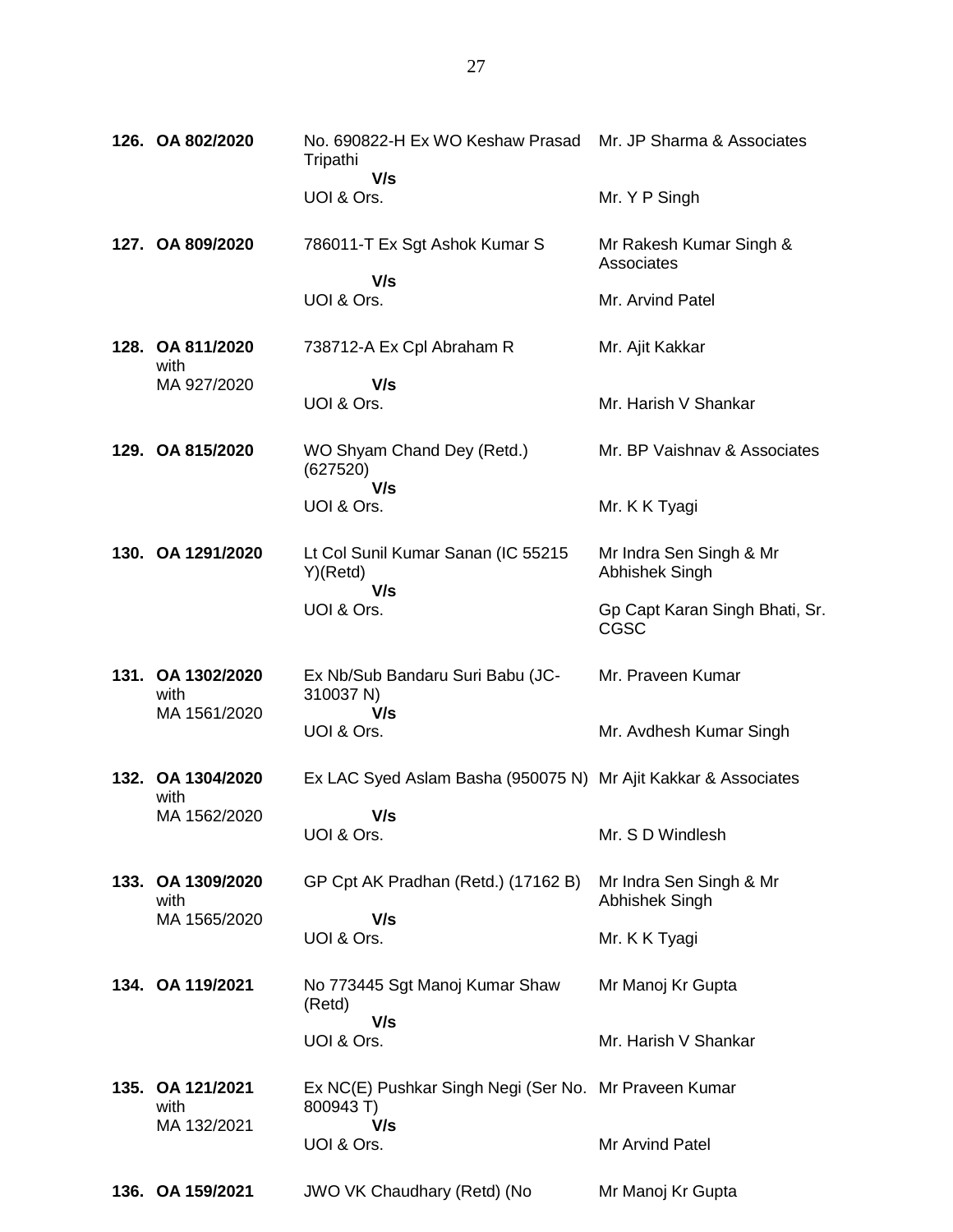| 126. OA 802/2020          | No. 690822-H Ex WO Keshaw Prasad Mr. JP Sharma & Associates<br>Tripathi |                                               |
|---------------------------|-------------------------------------------------------------------------|-----------------------------------------------|
|                           | V/s<br>UOI & Ors.                                                       | Mr. Y P Singh                                 |
| 127. OA 809/2020          | 786011-T Ex Sgt Ashok Kumar S                                           | Mr Rakesh Kumar Singh &<br>Associates         |
|                           | V/s<br>UOI & Ors.                                                       | Mr. Arvind Patel                              |
| 128. OA 811/2020<br>with  | 738712-A Ex Cpl Abraham R                                               | Mr. Ajit Kakkar                               |
| MA 927/2020               | V/s<br>UOI & Ors.                                                       | Mr. Harish V Shankar                          |
| 129. OA 815/2020          | WO Shyam Chand Dey (Retd.)<br>(627520)<br>V/s                           | Mr. BP Vaishnav & Associates                  |
|                           | UOI & Ors.                                                              | Mr. K K Tyagi                                 |
| 130. OA 1291/2020         | Lt Col Sunil Kumar Sanan (IC 55215<br>Y)(Retd)<br>V/s                   | Mr Indra Sen Singh & Mr<br>Abhishek Singh     |
|                           | UOI & Ors.                                                              | Gp Capt Karan Singh Bhati, Sr.<br><b>CGSC</b> |
| 131. OA 1302/2020<br>with | Ex Nb/Sub Bandaru Suri Babu (JC-<br>310037 N)                           | Mr. Praveen Kumar                             |
| MA 1561/2020              | V/s<br>UOI & Ors.                                                       | Mr. Avdhesh Kumar Singh                       |
| 132. OA 1304/2020<br>with | Ex LAC Syed Aslam Basha (950075 N) Mr Ajit Kakkar & Associates          |                                               |
| MA 1562/2020              | V/s<br>UOI & Ors.                                                       | Mr. S D Windlesh                              |
| 133. OA 1309/2020<br>with | GP Cpt AK Pradhan (Retd.) (17162 B)                                     | Mr Indra Sen Singh & Mr<br>Abhishek Singh     |
| MA 1565/2020              | V/s<br>UOI & Ors.                                                       | Mr. K K Tyagi                                 |
| 134. OA 119/2021          | No 773445 Sgt Manoj Kumar Shaw<br>(Retd)                                | Mr Manoj Kr Gupta                             |
|                           | V/s<br>UOI & Ors.                                                       | Mr. Harish V Shankar                          |
| 135. OA 121/2021<br>with  | Ex NC(E) Pushkar Singh Negi (Ser No. Mr Praveen Kumar<br>800943 T)      |                                               |
| MA 132/2021               | V/s<br>UOI & Ors.                                                       | Mr Arvind Patel                               |
| 136. OA 159/2021          | JWO VK Chaudhary (Retd) (No                                             | Mr Manoj Kr Gupta                             |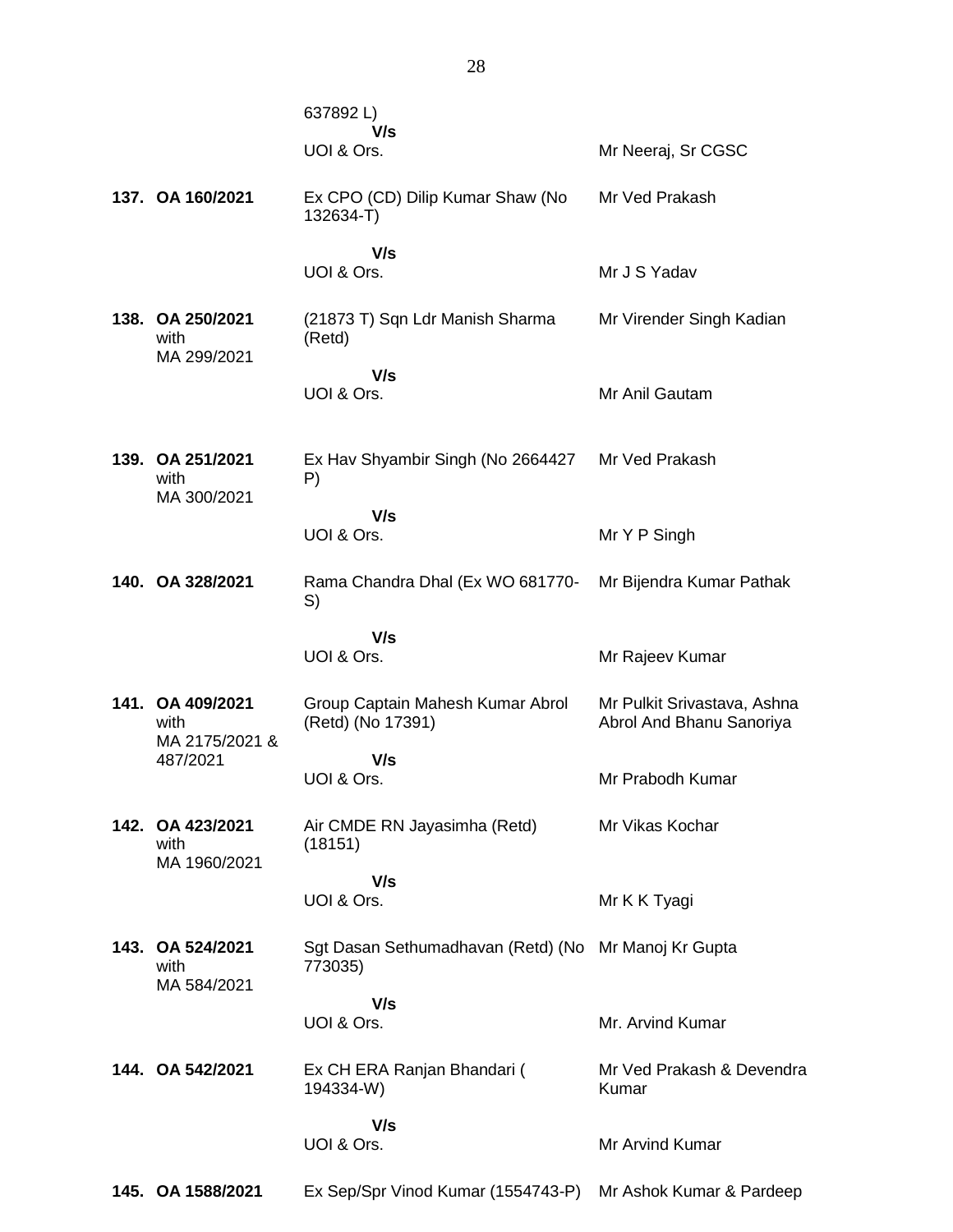|                                            | 637892L)                                                        |                                                         |
|--------------------------------------------|-----------------------------------------------------------------|---------------------------------------------------------|
|                                            | V/s<br>UOI & Ors.                                               | Mr Neeraj, Sr CGSC                                      |
| 137. OA 160/2021                           | Ex CPO (CD) Dilip Kumar Shaw (No<br>132634-T)                   | Mr Ved Prakash                                          |
|                                            | V/s<br>UOI & Ors.                                               | Mr J S Yadav                                            |
| 138. OA 250/2021<br>with<br>MA 299/2021    | (21873 T) Sqn Ldr Manish Sharma<br>(Retd)                       | Mr Virender Singh Kadian                                |
|                                            | V/s<br>UOI & Ors.                                               | Mr Anil Gautam                                          |
| 139. OA 251/2021<br>with<br>MA 300/2021    | Ex Hav Shyambir Singh (No 2664427<br>P)                         | Mr Ved Prakash                                          |
|                                            | V/s<br>UOI & Ors.                                               | Mr Y P Singh                                            |
| 140. OA 328/2021                           | Rama Chandra Dhal (Ex WO 681770-<br>S)                          | Mr Bijendra Kumar Pathak                                |
|                                            | V/s<br>UOI & Ors.                                               | Mr Rajeev Kumar                                         |
| 141. OA 409/2021<br>with<br>MA 2175/2021 & | Group Captain Mahesh Kumar Abrol<br>(Retd) (No 17391)           | Mr Pulkit Srivastava, Ashna<br>Abrol And Bhanu Sanoriya |
| 487/2021                                   | V/s<br>UOI & Ors.                                               | Mr Prabodh Kumar                                        |
| 142. OA 423/2021<br>with<br>MA 1960/2021   | Air CMDE RN Jayasimha (Retd)<br>(18151)                         | Mr Vikas Kochar                                         |
|                                            | V/s<br>UOI & Ors.                                               | Mr K K Tyagi                                            |
| 143. OA 524/2021<br>with<br>MA 584/2021    | Sgt Dasan Sethumadhavan (Retd) (No Mr Manoj Kr Gupta<br>773035) |                                                         |
|                                            | V/s<br>UOI & Ors.                                               | Mr. Arvind Kumar                                        |
| 144. OA 542/2021                           | Ex CH ERA Ranjan Bhandari (<br>194334-W)                        | Mr Ved Prakash & Devendra<br>Kumar                      |
|                                            | V/s<br>UOI & Ors.                                               | Mr Arvind Kumar                                         |
| 145. OA 1588/2021                          | Ex Sep/Spr Vinod Kumar (1554743-P)                              | Mr Ashok Kumar & Pardeep                                |